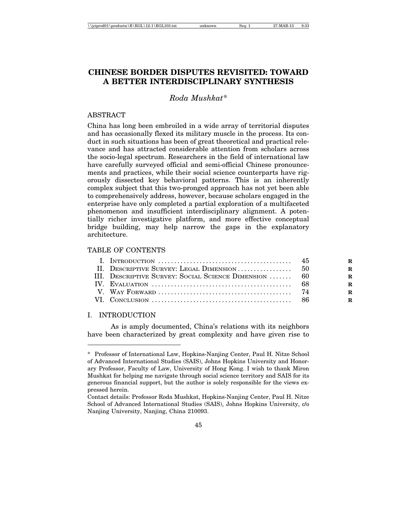# **CHINESE BORDER DISPUTES REVISITED: TOWARD A BETTER INTERDISCIPLINARY SYNTHESIS**

# *Roda Mushkat\**

### **ABSTRACT**

China has long been embroiled in a wide array of territorial disputes and has occasionally flexed its military muscle in the process. Its conduct in such situations has been of great theoretical and practical relevance and has attracted considerable attention from scholars across the socio-legal spectrum. Researchers in the field of international law have carefully surveyed official and semi-official Chinese pronouncements and practices, while their social science counterparts have rigorously dissected key behavioral patterns. This is an inherently complex subject that this two-pronged approach has not yet been able to comprehensively address, however, because scholars engaged in the enterprise have only completed a partial exploration of a multifaceted phenomenon and insufficient interdisciplinary alignment. A potentially richer investigative platform, and more effective conceptual bridge building, may help narrow the gaps in the explanatory architecture.

# TABLE OF CONTENTS

| I. INTRODUCTION $\ldots \ldots \ldots \ldots \ldots \ldots \ldots \ldots \ldots \ldots \ldots \ldots$ 45 |  |
|----------------------------------------------------------------------------------------------------------|--|
|                                                                                                          |  |
| III. DESCRIPTIVE SURVEY: SOCIAL SCIENCE DIMENSION  60                                                    |  |
|                                                                                                          |  |
|                                                                                                          |  |
|                                                                                                          |  |

#### I. INTRODUCTION

As is amply documented, China's relations with its neighbors have been characterized by great complexity and have given rise to

<sup>\*</sup> Professor of International Law, Hopkins-Nanjing Center, Paul H. Nitze School of Advanced International Studies (SAIS), Johns Hopkins University and Honorary Professor, Faculty of Law, University of Hong Kong. I wish to thank Miron Mushkat for helping me navigate through social science territory and SAIS for its generous financial support, but the author is solely responsible for the views expressed herein.

Contact details: Professor Roda Mushkat, Hopkins-Nanjing Center, Paul H. Nitze School of Advanced International Studies (SAIS), Johns Hopkins University, c/o Nanjing University, Nanjing, China 210093.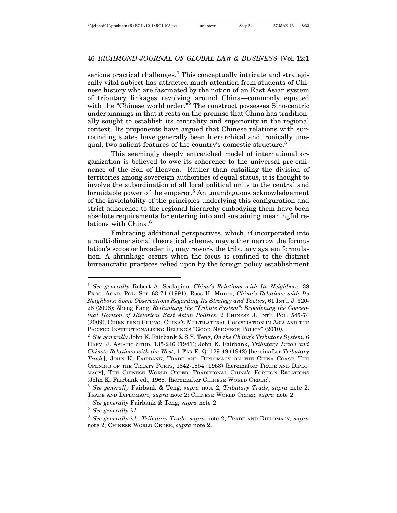serious practical challenges.<sup>1</sup> This conceptually intricate and strategically vital subject has attracted much attention from students of Chinese history who are fascinated by the notion of an East Asian system of tributary linkages revolving around China—commonly equated with the "Chinese world order."<sup>2</sup> The construct possesses Sino-centric underpinnings in that it rests on the premise that China has traditionally sought to establish its centrality and superiority in the regional context. Its proponents have argued that Chinese relations with surrounding states have generally been hierarchical and ironically unequal, two salient features of the country's domestic structure.<sup>3</sup>

This seemingly deeply entrenched model of international organization is believed to owe its coherence to the universal pre-eminence of the Son of Heaven.<sup>4</sup> Rather than entailing the division of territories among sovereign authorities of equal status, it is thought to involve the subordination of all local political units to the central and formidable power of the emperor.<sup>5</sup> An unambiguous acknowledgement of the inviolability of the principles underlying this configuration and strict adherence to the regional hierarchy embodying them have been absolute requirements for entering into and sustaining meaningful relations with China.<sup>6</sup>

Embracing additional perspectives, which, if incorporated into a multi-dimensional theoretical scheme, may either narrow the formulation's scope or broaden it, may rework the tributary system formulation. A shrinkage occurs when the focus is confined to the distinct bureaucratic practices relied upon by the foreign policy establishment

<sup>1</sup> *See generally* Robert A. Scalapino, *China's Relations with Its Neighbors*, 38 PROC. ACAD. POL. SCI. 63-74 (1991); Ross H. Munro, *China's Relations with Its Neighbors: Some Observations Regarding Its Strategy and Tactics*, 61 INT'L J. 320- 28 (2006); Zheng Fang, *Rethinking the "Tribute System": Broadening the Conceptual Horizon of Historical East Asian Politics*, 2 CHINESE J. INT'L POL. 545-74 (2009); CHIEN-PENG CHUNG, CHINA'S MULTILATERAL COOPERATION IN ASIA AND THE PACIFIC: INSTITUTIONALIZING BEIJING'S "GOOD NEIGHBOR POLICY" (2010).

<sup>2</sup> *See generally* John K. Fairbank & S.Y. Teng, *On the Ch'ing's Tributary System*, 6 HARV. J. ASIATIC STUD. 135-246 (1941); John K. Fairbank, *Tributary Trade and China's Relations with the West*, 1 FAR E. Q. 129-49 (1942) [hereinafter *Tributary Trade*]; JOHN K. FAIRBANK, TRADE AND DIPLOMACY ON THE CHINA COAST: THE OPENING OF THE TREATY PORTS, 1842-1854 (1953) [hereinafter TRADE AND DIPLO-MACY]; THE CHINESE WORLD ORDER: TRADITIONAL CHINA'S FOREIGN RELATIONS (John K. Fairbank ed., 1968) [hereinafter CHINESE WORLD ORDER].

<sup>3</sup> *See generally* Fairbank & Teng, *supra* note 2; *Tributary Trade*, *supra* note 2; TRADE AND DIPLOMACY*, supra* note 2; CHINESE WORLD ORDER, *supra* note 2.

<sup>4</sup> *See generally* Fairbank & Teng, *supra* note 2

<sup>5</sup> *See generally id.*

<sup>6</sup> *See generally id.*; *Tributary Trade*, *supra* note 2; TRADE AND DIPLOMACY*, supra* note 2; CHINESE WORLD ORDER, *supra* note 2.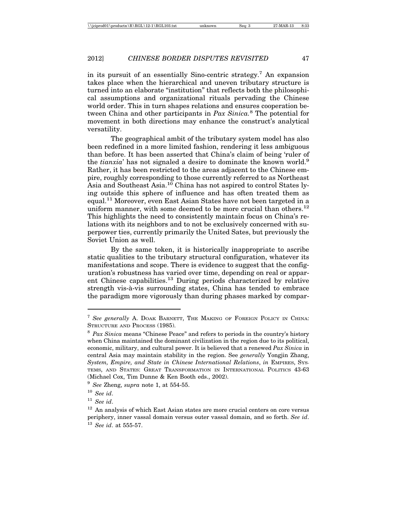in its pursuit of an essentially Sino-centric strategy.7 An expansion takes place when the hierarchical and uneven tributary structure is turned into an elaborate "institution" that reflects both the philosophical assumptions and organizational rituals pervading the Chinese world order. This in turn shapes relations and ensures cooperation between China and other participants in *Pax Sinica.*<sup>8</sup> The potential for movement in both directions may enhance the construct's analytical versatility.

The geographical ambit of the tributary system model has also been redefined in a more limited fashion, rendering it less ambiguous than before. It has been asserted that China's claim of being 'ruler of the *tianxia*' has not signaled a desire to dominate the known world.<sup>9</sup> Rather, it has been restricted to the areas adjacent to the Chinese empire, roughly corresponding to those currently referred to as Northeast Asia and Southeast Asia.10 China has not aspired to control States lying outside this sphere of influence and has often treated them as equal.11 Moreover, even East Asian States have not been targeted in a uniform manner, with some deemed to be more crucial than others.<sup>12</sup> This highlights the need to consistently maintain focus on China's relations with its neighbors and to not be exclusively concerned with superpower ties, currently primarily the United Sates, but previously the Soviet Union as well.

By the same token, it is historically inappropriate to ascribe static qualities to the tributary structural configuration, whatever its manifestations and scope. There is evidence to suggest that the configuration's robustness has varied over time, depending on real or apparent Chinese capabilities.<sup>13</sup> During periods characterized by relative strength vis-à-vis surrounding states, China has tended to embrace the paradigm more vigorously than during phases marked by compar-

<sup>9</sup> *See* Zheng, *supra* note 1, at 554-55.

<sup>7</sup> *See generally* A. DOAK BARNETT, THE MAKING OF FOREIGN POLICY IN CHINA: STRUCTURE AND PROCESS (1985).

<sup>8</sup> *Pax Sinica* means "Chinese Peace" and refers to periods in the country's history when China maintained the dominant civilization in the region due to its political, economic, military, and cultural power. It is believed that a renewed *Pax Sinica* in central Asia may maintain stability in the region. See *generally* Yongjin Zhang, *System, Empire, and State in Chinese International Relations*, *in* EMPIRES, SYS-TEMS, AND STATES: GREAT TRANSFORMATION IN INTERNATIONAL POLITICS 43-63 (Michael Cox, Tim Dunne & Ken Booth eds., 2002).

<sup>10</sup> *See id*.

<sup>11</sup> *See id*.

 $12$  An analysis of which East Asian states are more crucial centers on core versus periphery, inner vassal domain versus outer vassal domain, and so forth. *See id*. <sup>13</sup> *See id*. at 555-57.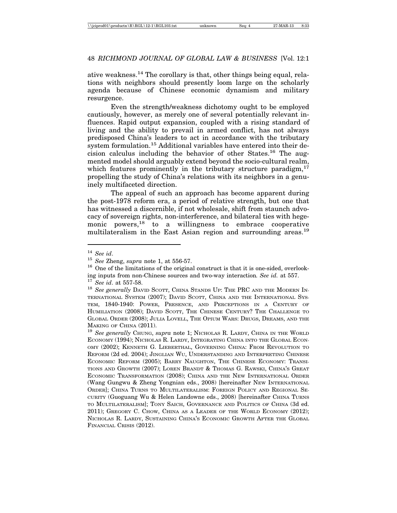ative weakness.14 The corollary is that, other things being equal, relations with neighbors should presently loom large on the scholarly agenda because of Chinese economic dynamism and military resurgence.

Even the strength/weakness dichotomy ought to be employed cautiously, however, as merely one of several potentially relevant influences. Rapid output expansion, coupled with a rising standard of living and the ability to prevail in armed conflict, has not always predisposed China's leaders to act in accordance with the tributary system formulation.<sup>15</sup> Additional variables have entered into their decision calculus including the behavior of other States.16 The augmented model should arguably extend beyond the socio-cultural realm, which features prominently in the tributary structure paradigm,  $17$ propelling the study of China's relations with its neighbors in a genuinely multifaceted direction.

The appeal of such an approach has become apparent during the post-1978 reform era, a period of relative strength, but one that has witnessed a discernible, if not wholesale, shift from staunch advocacy of sovereign rights, non-interference, and bilateral ties with hegemonic powers,  $18$  to a willingness to embrace cooperative multilateralism in the East Asian region and surrounding areas.<sup>19</sup>

<sup>14</sup> *See id*.

<sup>15</sup> *See* Zheng, *supra* note 1, at 556-57.

<sup>&</sup>lt;sup>16</sup> One of the limitations of the original construct is that it is one-sided, overlooking inputs from non-Chinese sources and two-way interaction*. See id.* at 557.

<sup>17</sup> *See id*. at 557-58.

<sup>&</sup>lt;sup>18</sup> See generally DAVID SCOTT, CHINA STANDS UP: THE PRC AND THE MODERN IN-TERNATIONAL SYSTEM (2007); DAVID SCOTT, CHINA AND THE INTERNATIONAL SYS-TEM, 1840-1940: POWER, PRESENCE, AND PERCEPTIONS IN A CENTURY OF HUMILIATION (2008); DAVID SCOTT, THE CHINESE CENTURY? THE CHALLENGE TO GLOBAL ORDER (2008); JULIA LOVELL, THE OPIUM WARS: DRUGS, DREAMS, AND THE MAKING OF CHINA (2011).

<sup>&</sup>lt;sup>19</sup> See generally CHUNG, *supra* note 1; NICHOLAS R. LARDY, CHINA IN THE WORLD ECONOMY (1994); NICHOLAS R. LARDY, INTEGRATING CHINA INTO THE GLOBAL ECON-OMY (2002); KENNETH G. LIEBERTHAL, GOVERNING CHINA: FROM REVOLUTION TO REFORM (2d ed. 2004); JINGLIAN WU, UNDERSTANDING AND INTERPRETING CHINESE ECONOMIC REFORM (2005); BARRY NAUGHTON, THE CHINESE ECONOMY: TRANSI-TIONS AND GROWTH (2007); LOREN BRANDT & THOMAS G. RAWSKI, CHINA'S GREAT ECONOMIC TRANSFORMATION (2008); CHINA AND THE NEW INTERNATIONAL ORDER (Wang Gungwu & Zheng Yongnian eds., 2008) [hereinafter NEW INTERNATIONAL ORDER]; CHINA TURNS TO MULTILATERALISM: FOREIGN POLICY AND REGIONAL SE-CURITY (Guoguang Wu & Helen Landowne eds., 2008) [hereinafter CHINA TURNS TO MULTILATERALISM]; TONY SAICH, GOVERNANCE AND POLITICS OF CHINA (3d ed. 2011); GREGORY C. CHOW, CHINA AS A LEADER OF THE WORLD ECONOMY (2012); NICHOLAS R. LARDY, SUSTAINING CHINA'S ECONOMIC GROWTH AFTER THE GLOBAL FINANCIAL CRISIS (2012).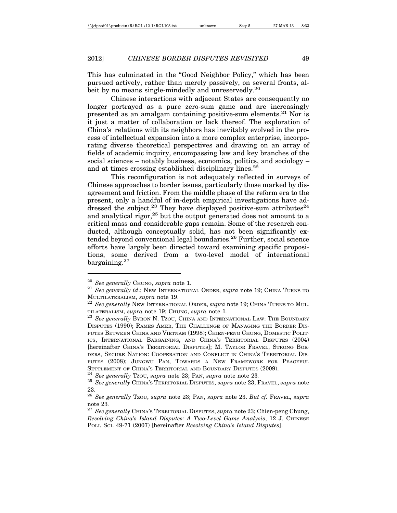This has culminated in the "Good Neighbor Policy," which has been pursued actively, rather than merely passively, on several fronts, albeit by no means single-mindedly and unreservedly.<sup>20</sup>

Chinese interactions with adjacent States are consequently no longer portrayed as a pure zero-sum game and are increasingly presented as an amalgam containing positive-sum elements.21 Nor is it just a matter of collaboration or lack thereof. The exploration of China's relations with its neighbors has inevitably evolved in the process of intellectual expansion into a more complex enterprise, incorporating diverse theoretical perspectives and drawing on an array of fields of academic inquiry, encompassing law and key branches of the social sciences – notably business, economics, politics, and sociology – and at times crossing established disciplinary lines.<sup>22</sup>

This reconfiguration is not adequately reflected in surveys of Chinese approaches to border issues, particularly those marked by disagreement and friction. From the middle phase of the reform era to the present, only a handful of in-depth empirical investigations have addressed the subject.<sup>23</sup> They have displayed positive-sum attributes<sup>24</sup> and analytical rigor, $25$  but the output generated does not amount to a critical mass and considerable gaps remain. Some of the research conducted, although conceptually solid, has not been significantly extended beyond conventional legal boundaries.<sup>26</sup> Further, social science efforts have largely been directed toward examining specific propositions, some derived from a two-level model of international bargaining.<sup>27</sup>

<sup>20</sup> *See generally* CHUNG, *supra* note 1*.* <sup>21</sup> *See generally id*.; NEW INTERNATIONAL ORDER, *supra* note 19; CHINA TURNS TO

MULTILATERALISM, *supra* note 19. <sup>22</sup> *See generally* NEW INTERNATIONAL ORDER, *supra* note 19; CHINA TURNS TO MUL-

TILATERALISM, *supra* note 19; CHUNG, *supra* note 1*.* <sup>23</sup> *See generally* BYRON N. TZOU, CHINA AND INTERNATIONAL LAW: THE BOUNDARY DISPUTES (1990); RAMES AMER, THE CHALLENGE OF MANAGING THE BORDER DIS-PUTES BETWEEN CHINA AND VIETNAM (1998); CHIEN-PENG CHUNG, DOMESTIC POLIT-ICS, INTERNATIONAL BARGAINING, AND CHINA'S TERRITORIAL DISPUTES (2004) [hereinafter CHINA'S TERRITORIAL DISPUTES]; M. TAYLOR FRAVEL, STRONG BOR-DERS, SECURE NATION: COOPERATION AND CONFLICT IN CHINA'S TERRITORIAL DIS-PUTES (2008); JUNGWU PAN, TOWARDS A NEW FRAMEWORK FOR PEACEFUL SETTLEMENT OF CHINA'S TERRITORIAL AND BOUNDARY DISPUTES (2009).<br><sup>24</sup> See generally Tzou, supra note 23; Pan, supra note note 23.<br><sup>25</sup> See generally CHINA'S TERRITORIAL DISPUTES, supra note 23; FRAVEL, supra note

<sup>23.</sup>

<sup>26</sup> *See generally* TZOU, *supra* note 23; PAN, *supra* note 23. *But cf.* FRAVEL, *supra*

note 23*.* <sup>27</sup> *See generally* CHINA'S TERRITORIAL DISPUTES, *supra* note 23; Chien-peng Chung, *Resolving China's Island Disputes: A Two-Level Game Analysis*, 12 J. CHINESE POLI. SCI. 49-71 (2007) [hereinafter *Resolving China's Island Disputes*].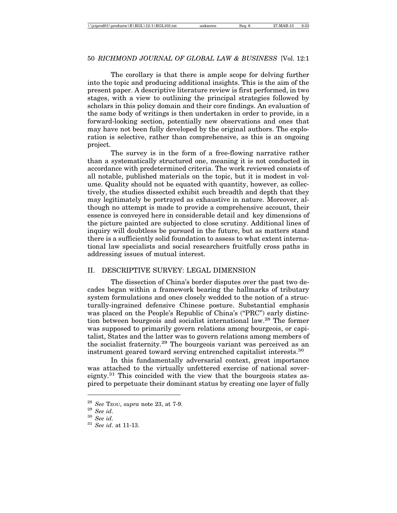The corollary is that there is ample scope for delving further into the topic and producing additional insights. This is the aim of the present paper. A descriptive literature review is first performed, in two stages, with a view to outlining the principal strategies followed by scholars in this policy domain and their core findings. An evaluation of the same body of writings is then undertaken in order to provide, in a forward-looking section, potentially new observations and ones that may have not been fully developed by the original authors. The exploration is selective, rather than comprehensive, as this is an ongoing project.

The survey is in the form of a free-flowing narrative rather than a systematically structured one, meaning it is not conducted in accordance with predetermined criteria. The work reviewed consists of all notable, published materials on the topic, but it is modest in volume. Quality should not be equated with quantity, however, as collectively, the studies dissected exhibit such breadth and depth that they may legitimately be portrayed as exhaustive in nature. Moreover, although no attempt is made to provide a comprehensive account, their essence is conveyed here in considerable detail and key dimensions of the picture painted are subjected to close scrutiny. Additional lines of inquiry will doubtless be pursued in the future, but as matters stand there is a sufficiently solid foundation to assess to what extent international law specialists and social researchers fruitfully cross paths in addressing issues of mutual interest.

# II. DESCRIPTIVE SURVEY: LEGAL DIMENSION

The dissection of China's border disputes over the past two decades began within a framework bearing the hallmarks of tributary system formulations and ones closely wedded to the notion of a structurally-ingrained defensive Chinese posture. Substantial emphasis was placed on the People's Republic of China's ("PRC") early distinction between bourgeois and socialist international law.28 The former was supposed to primarily govern relations among bourgeois, or capitalist, States and the latter was to govern relations among members of the socialist fraternity.<sup>29</sup> The bourgeois variant was perceived as an instrument geared toward serving entrenched capitalist interests.30

In this fundamentally adversarial context, great importance was attached to the virtually unfettered exercise of national sovereignty.<sup>31</sup> This coincided with the view that the bourgeois states aspired to perpetuate their dominant status by creating one layer of fully

<sup>28</sup> *See* TZOU, *supra* note 23, at 7-9. <sup>29</sup> *See id*. <sup>30</sup> *See id*. <sup>31</sup> *See id*. at 11-13.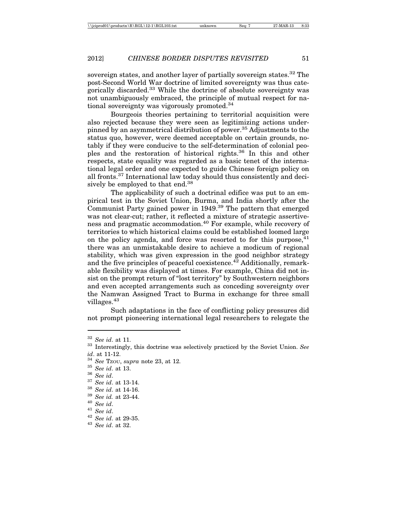sovereign states, and another layer of partially sovereign states.<sup>32</sup> The post-Second World War doctrine of limited sovereignty was thus categorically discarded.33 While the doctrine of absolute sovereignty was not unambiguously embraced, the principle of mutual respect for national sovereignty was vigorously promoted.34

Bourgeois theories pertaining to territorial acquisition were also rejected because they were seen as legitimizing actions underpinned by an asymmetrical distribution of power.<sup>35</sup> Adjustments to the status quo, however, were deemed acceptable on certain grounds, notably if they were conducive to the self-determination of colonial peoples and the restoration of historical rights.36 In this and other respects, state equality was regarded as a basic tenet of the international legal order and one expected to guide Chinese foreign policy on all fronts.37 International law today should thus consistently and decisively be employed to that end.38

The applicability of such a doctrinal edifice was put to an empirical test in the Soviet Union, Burma, and India shortly after the Communist Party gained power in 1949.39 The pattern that emerged was not clear-cut; rather, it reflected a mixture of strategic assertiveness and pragmatic accommodation.<sup>40</sup> For example, while recovery of territories to which historical claims could be established loomed large on the policy agenda, and force was resorted to for this purpose,  $41$ there was an unmistakable desire to achieve a modicum of regional stability, which was given expression in the good neighbor strategy and the five principles of peaceful coexistence. $42$  Additionally, remarkable flexibility was displayed at times. For example, China did not insist on the prompt return of "lost territory" by Southwestern neighbors and even accepted arrangements such as conceding sovereignty over the Namwan Assigned Tract to Burma in exchange for three small villages.43

Such adaptations in the face of conflicting policy pressures did not prompt pioneering international legal researchers to relegate the

<sup>32</sup> *See id*. at 11.

<sup>33</sup> Interestingly, this doctrine was selectively practiced by the Soviet Union. *See id*. at 11-12.

<sup>&</sup>lt;sup>34</sup> *See* Tzou, *supra* note 23, at 12.<br><sup>35</sup> *See id.* at 13.

<sup>35</sup> *See id*. at 13. 36 *See id*. 37 *See id*. at 13-14. 38 *See id*. at 14-16. 39 *See id.* at 23-44. 40 *See id*. 41 *See id*. 42 *See id*. at 29-35. 43 *See id*. at 32.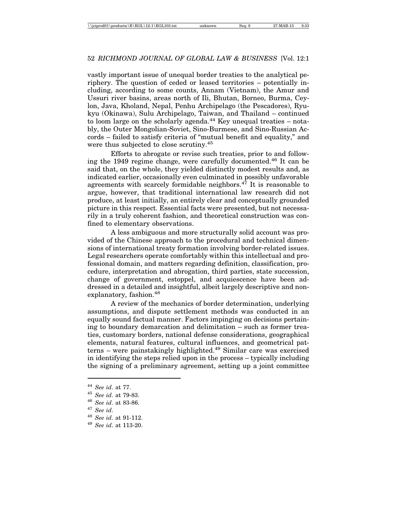vastly important issue of unequal border treaties to the analytical periphery. The question of ceded or leased territories – potentially including, according to some counts, Annam (Vietnam), the Amur and Ussuri river basins, areas north of Ili, Bhutan, Borneo, Burma, Ceylon, Java, Kholand, Nepal, Penhu Archipelago (the Pescadores), Ryukyu (Okinawa), Sulu Archipelago, Taiwan, and Thailand – continued to loom large on the scholarly agenda. $44$  Key unequal treaties – notably, the Outer Mongolian-Soviet, Sino-Burmese, and Sino-Russian Accords – failed to satisfy criteria of "mutual benefit and equality," and were thus subjected to close scrutiny.<sup>45</sup>

Efforts to abrogate or revise such treaties, prior to and following the 1949 regime change, were carefully documented.46 It can be said that, on the whole, they yielded distinctly modest results and, as indicated earlier, occasionally even culminated in possibly unfavorable agreements with scarcely formidable neighbors. $4^{\tilde{7}}$  It is reasonable to argue, however, that traditional international law research did not produce, at least initially, an entirely clear and conceptually grounded picture in this respect. Essential facts were presented, but not necessarily in a truly coherent fashion, and theoretical construction was confined to elementary observations.

A less ambiguous and more structurally solid account was provided of the Chinese approach to the procedural and technical dimensions of international treaty formation involving border-related issues. Legal researchers operate comfortably within this intellectual and professional domain, and matters regarding definition, classification, procedure, interpretation and abrogation, third parties, state succession, change of government, estoppel, and acquiescence have been addressed in a detailed and insightful, albeit largely descriptive and nonexplanatory, fashion.<sup>48</sup>

A review of the mechanics of border determination, underlying assumptions, and dispute settlement methods was conducted in an equally sound factual manner. Factors impinging on decisions pertaining to boundary demarcation and delimitation – such as former treaties, customary borders, national defense considerations, geographical elements, natural features, cultural influences, and geometrical patterns – were painstakingly highlighted.49 Similar care was exercised in identifying the steps relied upon in the process – typically including the signing of a preliminary agreement, setting up a joint committee

<sup>44</sup> *See id*. at 77.

<sup>45</sup> *See id*. at 79-83.

<sup>46</sup> *See id*. at 83-86.

<sup>47</sup> *See id*.

<sup>48</sup> *See id*. at 91-112.

<sup>49</sup> *See id*. at 113-20.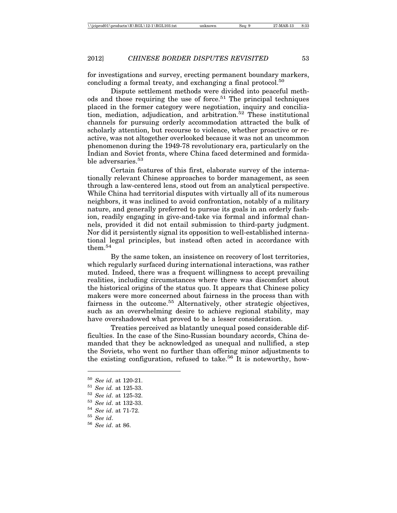for investigations and survey, erecting permanent boundary markers, concluding a formal treaty, and exchanging a final protocol.<sup>50</sup>

Dispute settlement methods were divided into peaceful methods and those requiring the use of force.<sup>51</sup> The principal techniques placed in the former category were negotiation, inquiry and conciliation, mediation, adjudication, and arbitration.52 These institutional channels for pursuing orderly accommodation attracted the bulk of scholarly attention, but recourse to violence, whether proactive or reactive, was not altogether overlooked because it was not an uncommon phenomenon during the 1949-78 revolutionary era, particularly on the Indian and Soviet fronts, where China faced determined and formidable adversaries.<sup>53</sup>

Certain features of this first, elaborate survey of the internationally relevant Chinese approaches to border management, as seen through a law-centered lens, stood out from an analytical perspective. While China had territorial disputes with virtually all of its numerous neighbors, it was inclined to avoid confrontation, notably of a military nature, and generally preferred to pursue its goals in an orderly fashion, readily engaging in give-and-take via formal and informal channels, provided it did not entail submission to third-party judgment. Nor did it persistently signal its opposition to well-established international legal principles, but instead often acted in accordance with them.54

By the same token, an insistence on recovery of lost territories, which regularly surfaced during international interactions, was rather muted. Indeed, there was a frequent willingness to accept prevailing realities, including circumstances where there was discomfort about the historical origins of the status quo. It appears that Chinese policy makers were more concerned about fairness in the process than with fairness in the outcome.<sup>55</sup> Alternatively, other strategic objectives, such as an overwhelming desire to achieve regional stability, may have overshadowed what proved to be a lesser consideration.

Treaties perceived as blatantly unequal posed considerable difficulties. In the case of the Sino-Russian boundary accords, China demanded that they be acknowledged as unequal and nullified, a step the Soviets, who went no further than offering minor adjustments to the existing configuration, refused to take.<sup>56</sup> It is noteworthy, how-

<sup>50</sup> *See id*. at 120-21.

<sup>51</sup> *See id.* at 125-33.

<sup>52</sup> *See id*. at 125-32.

<sup>53</sup> *See id*. at 132-33.

<sup>54</sup> *See id*. at 71-72.

 $55$  *See id.*<br> $56$  *See id.* 

<sup>56</sup> *See id*. at 86.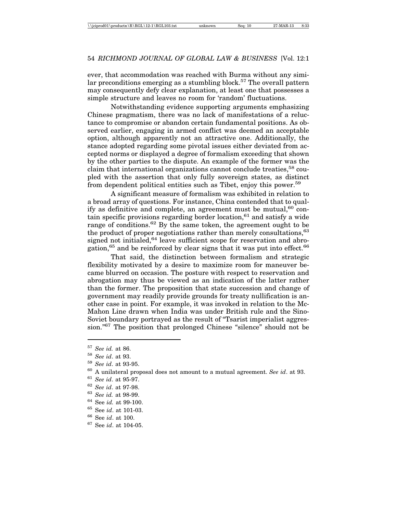ever, that accommodation was reached with Burma without any similar preconditions emerging as a stumbling block.<sup>57</sup> The overall pattern may consequently defy clear explanation, at least one that possesses a simple structure and leaves no room for 'random' fluctuations.

Notwithstanding evidence supporting arguments emphasizing Chinese pragmatism, there was no lack of manifestations of a reluctance to compromise or abandon certain fundamental positions. As observed earlier, engaging in armed conflict was deemed an acceptable option, although apparently not an attractive one. Additionally, the stance adopted regarding some pivotal issues either deviated from accepted norms or displayed a degree of formalism exceeding that shown by the other parties to the dispute. An example of the former was the claim that international organizations cannot conclude treaties,<sup>58</sup> coupled with the assertion that only fully sovereign states, as distinct from dependent political entities such as Tibet, enjoy this power.<sup>59</sup>

A significant measure of formalism was exhibited in relation to a broad array of questions. For instance, China contended that to qualify as definitive and complete, an agreement must be mutual,  $60$  contain specific provisions regarding border location,  $61$  and satisfy a wide range of conditions.<sup>62</sup> By the same token, the agreement ought to be the product of proper negotiations rather than merely consultations, <sup>63</sup> signed not initialed,  $64$  leave sufficient scope for reservation and abrogation,<sup>65</sup> and be reinforced by clear signs that it was put into effect.<sup>66</sup>

That said, the distinction between formalism and strategic flexibility motivated by a desire to maximize room for maneuver became blurred on occasion. The posture with respect to reservation and abrogation may thus be viewed as an indication of the latter rather than the former. The proposition that state succession and change of government may readily provide grounds for treaty nullification is another case in point. For example, it was invoked in relation to the Mc-Mahon Line drawn when India was under British rule and the Sino-Soviet boundary portrayed as the result of "Tsarist imperialist aggression."67 The position that prolonged Chinese "silence" should not be

<sup>57</sup> *See id.* at 86.

<sup>58</sup> *See id*. at 93.

<sup>59</sup> *See id*. at 93-95.

<sup>60</sup> A unilateral proposal does not amount to a mutual agreement. *See id*. at 93.

<sup>61</sup> *See id*. at 95-97.

 $^{62}$  *See id.* at 97-98.<br><sup>63</sup> *Secid* at 98.99.

<sup>63</sup> *See id.* at 98-99.

<sup>64</sup> See *id.* at 99-100.

<sup>65</sup> See *id*. at 101-03.

 $^{66}$  See *id*. at 100.<br> $^{67}$  See *id* at 104-

<sup>67</sup> See *id*. at 104-05.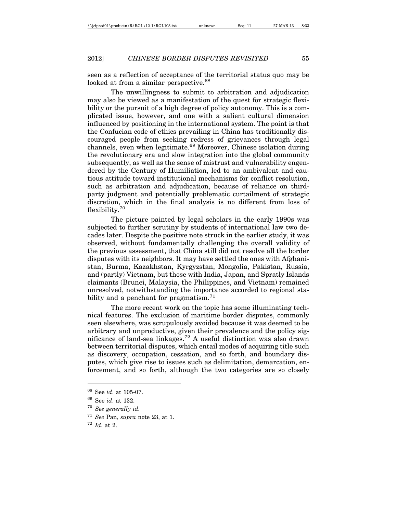seen as a reflection of acceptance of the territorial status quo may be looked at from a similar perspective.<sup>68</sup>

The unwillingness to submit to arbitration and adjudication may also be viewed as a manifestation of the quest for strategic flexibility or the pursuit of a high degree of policy autonomy. This is a complicated issue, however, and one with a salient cultural dimension influenced by positioning in the international system. The point is that the Confucian code of ethics prevailing in China has traditionally discouraged people from seeking redress of grievances through legal channels, even when legitimate.<sup>69</sup> Moreover, Chinese isolation during the revolutionary era and slow integration into the global community subsequently, as well as the sense of mistrust and vulnerability engendered by the Century of Humiliation, led to an ambivalent and cautious attitude toward institutional mechanisms for conflict resolution, such as arbitration and adjudication, because of reliance on thirdparty judgment and potentially problematic curtailment of strategic discretion, which in the final analysis is no different from loss of flexibility.70

The picture painted by legal scholars in the early 1990s was subjected to further scrutiny by students of international law two decades later. Despite the positive note struck in the earlier study, it was observed, without fundamentally challenging the overall validity of the previous assessment, that China still did not resolve all the border disputes with its neighbors. It may have settled the ones with Afghanistan, Burma, Kazakhstan, Kyrgyzstan, Mongolia, Pakistan, Russia, and (partly) Vietnam, but those with India, Japan, and Spratly Islands claimants (Brunei, Malaysia, the Philippines, and Vietnam) remained unresolved, notwithstanding the importance accorded to regional stability and a penchant for pragmatism.<sup>71</sup>

The more recent work on the topic has some illuminating technical features. The exclusion of maritime border disputes, commonly seen elsewhere, was scrupulously avoided because it was deemed to be arbitrary and unproductive, given their prevalence and the policy significance of land-sea linkages.72 A useful distinction was also drawn between territorial disputes, which entail modes of acquiring title such as discovery, occupation, cessation, and so forth, and boundary disputes, which give rise to issues such as delimitation, demarcation, enforcement, and so forth, although the two categories are so closely

<sup>68</sup> See *id*. at 105-07.

<sup>69</sup> See *id*. at 132.

<sup>70</sup> *See generally id.*

<sup>71</sup> *See* Pan, *supra* note 23, at 1.

<sup>72</sup> *Id*. at 2.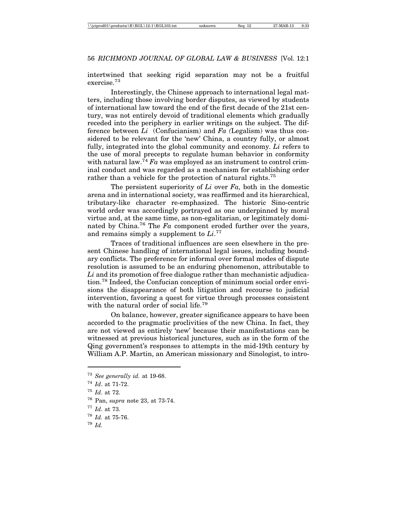intertwined that seeking rigid separation may not be a fruitful exercise.73

Interestingly, the Chinese approach to international legal matters, including those involving border disputes, as viewed by students of international law toward the end of the first decade of the 21st century, was not entirely devoid of traditional elements which gradually receded into the periphery in earlier writings on the subject. The difference between *Li* (Confucianism) and *Fa (*Legalism) was thus considered to be relevant for the 'new' China, a country fully, or almost fully, integrated into the global community and economy. *Li* refers to the use of moral precepts to regulate human behavior in conformity with natural law.<sup>74</sup> Fa was employed as an instrument to control criminal conduct and was regarded as a mechanism for establishing order rather than a vehicle for the protection of natural rights.<sup>75</sup>

The persistent superiority of *Li* over *Fa,* both in the domestic arena and in international society, was reaffirmed and its hierarchical, tributary-like character re-emphasized. The historic Sino-centric world order was accordingly portrayed as one underpinned by moral virtue and, at the same time, as non-egalitarian, or legitimately dominated by China.76 The *Fa* component eroded further over the years, and remains simply a supplement to *Li*. 77

Traces of traditional influences are seen elsewhere in the present Chinese handling of international legal issues, including boundary conflicts. The preference for informal over formal modes of dispute resolution is assumed to be an enduring phenomenon, attributable to *Li* and its promotion of free dialogue rather than mechanistic adjudication.78 Indeed, the Confucian conception of minimum social order envisions the disappearance of both litigation and recourse to judicial intervention, favoring a quest for virtue through processes consistent with the natural order of social life.<sup>79</sup>

On balance, however, greater significance appears to have been accorded to the pragmatic proclivities of the new China. In fact, they are not viewed as entirely 'new' because their manifestations can be witnessed at previous historical junctures, such as in the form of the Qing government's responses to attempts in the mid-19th century by William A.P. Martin, an American missionary and Sinologist, to intro-

<sup>73</sup> *See generally id.* at 19-68.

<sup>74</sup> *Id*. at 71-72.

<sup>75</sup> *Id*. at 72.

<sup>76</sup> Pan, *supra* note 23, at 73-74.

<sup>77</sup> *Id*. at 73.

<sup>78</sup> *Id.* at 75-76.

<sup>79</sup> *Id.*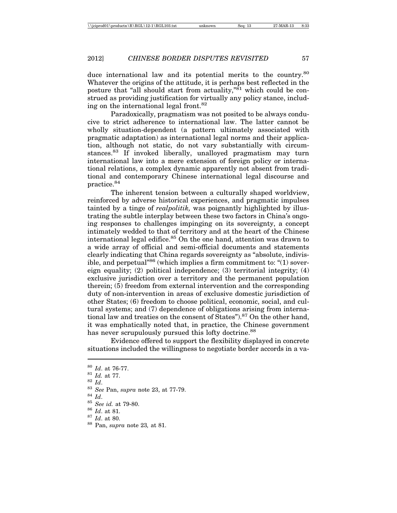duce international law and its potential merits to the country.<sup>80</sup> Whatever the origins of the attitude, it is perhaps best reflected in the posture that "all should start from actuality," $\frac{81}{10}$  which could be construed as providing justification for virtually any policy stance, including on the international legal front.<sup>82</sup>

Paradoxically, pragmatism was not posited to be always conducive to strict adherence to international law. The latter cannot be wholly situation-dependent (a pattern ultimately associated with pragmatic adaptation) as international legal norms and their application, although not static, do not vary substantially with circumstances.83 If invoked liberally, unalloyed pragmatism may turn international law into a mere extension of foreign policy or international relations, a complex dynamic apparently not absent from traditional and contemporary Chinese international legal discourse and practice.84

The inherent tension between a culturally shaped worldview, reinforced by adverse historical experiences, and pragmatic impulses tainted by a tinge of *realpolitik,* was poignantly highlighted by illustrating the subtle interplay between these two factors in China's ongoing responses to challenges impinging on its sovereignty, a concept intimately wedded to that of territory and at the heart of the Chinese international legal edifice.85 On the one hand, attention was drawn to a wide array of official and semi-official documents and statements clearly indicating that China regards sovereignty as "absolute, indivisible, and perpetual"<sup>86</sup> (which implies a firm commitment to: " $(1)$  sovereign equality; (2) political independence; (3) territorial integrity; (4) exclusive jurisdiction over a territory and the permanent population therein; (5) freedom from external intervention and the corresponding duty of non-intervention in areas of exclusive domestic jurisdiction of other States; (6) freedom to choose political, economic, social, and cultural systems; and (7) dependence of obligations arising from international law and treaties on the consent of States").<sup>87</sup> On the other hand, it was emphatically noted that, in practice, the Chinese government has never scrupulously pursued this lofty doctrine.<sup>88</sup>

Evidence offered to support the flexibility displayed in concrete situations included the willingness to negotiate border accords in a va-

<sup>&</sup>lt;sup>80</sup> *Id.* at 76-77.<br>
<sup>81</sup> *Id.* at 77.<br>
<sup>82</sup> *Id.*<br>
<sup>83</sup> *Id.*<br>
<sup>83</sup> *See Pan, supra note 23, at 77-79.*<br>
<sup>84</sup> *Id.*<br>
<sup>85</sup> *See id.* at 79-80.<br>
<sup>86</sup> *Id.* at 81.<br>
<sup>87</sup> *Id.* at 80.<br>
<sup>88</sup> Pan, *supra* note 23, at 81.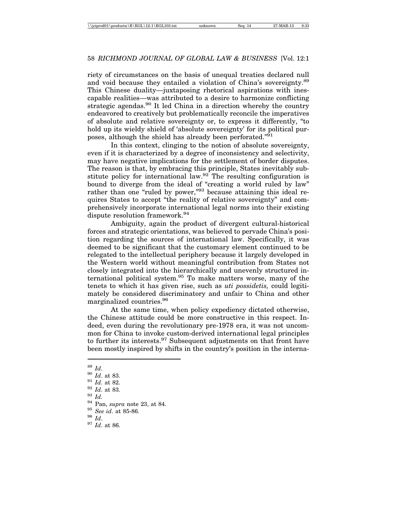riety of circumstances on the basis of unequal treaties declared null and void because they entailed a violation of China's sovereignty.<sup>89</sup> This Chinese duality—juxtaposing rhetorical aspirations with inescapable realities—was attributed to a desire to harmonize conflicting strategic agendas.<sup>90</sup> It led China in a direction whereby the country endeavored to creatively but problematically reconcile the imperatives of absolute and relative sovereignty or, to express it differently, "to hold up its wieldy shield of 'absolute sovereignty' for its political purposes, although the shield has already been perforated."91

In this context, clinging to the notion of absolute sovereignty, even if it is characterized by a degree of inconsistency and selectivity, may have negative implications for the settlement of border disputes. The reason is that, by embracing this principle, States inevitably substitute policy for international law.<sup>92</sup> The resulting configuration is bound to diverge from the ideal of "creating a world ruled by law" rather than one "ruled by power,"<sup>93</sup> because attaining this ideal requires States to accept "the reality of relative sovereignty" and comprehensively incorporate international legal norms into their existing dispute resolution framework.94

Ambiguity, again the product of divergent cultural-historical forces and strategic orientations, was believed to pervade China's position regarding the sources of international law. Specifically, it was deemed to be significant that the customary element continued to be relegated to the intellectual periphery because it largely developed in the Western world without meaningful contribution from States not closely integrated into the hierarchically and unevenly structured international political system.95 To make matters worse, many of the tenets to which it has given rise, such as *uti possidetis,* could legitimately be considered discriminatory and unfair to China and other marginalized countries.96

At the same time, when policy expediency dictated otherwise, the Chinese attitude could be more constructive in this respect. Indeed, even during the revolutionary pre-1978 era, it was not uncommon for China to invoke custom-derived international legal principles to further its interests.<sup>97</sup> Subsequent adjustments on that front have been mostly inspired by shifts in the country's position in the interna-

<sup>89</sup> *Id*. <sup>90</sup> *Id*. at 83. <sup>91</sup> *Id.* at 82. <sup>92</sup> *Id*. at 83. <sup>93</sup> *Id.* <sup>94</sup> Pan, *supra* note 23, at 84. <sup>95</sup> *See id*. at 85-86. <sup>96</sup> *Id*. <sup>97</sup> *Id*. at 86.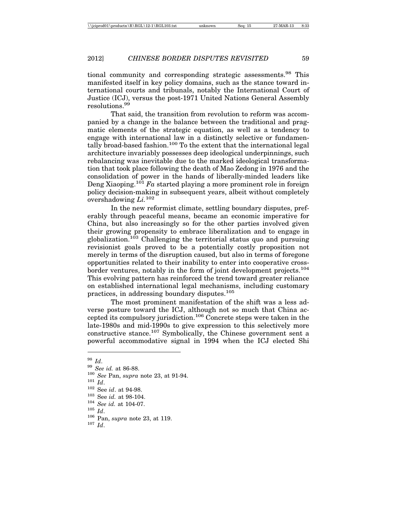tional community and corresponding strategic assessments.<sup>98</sup> This manifested itself in key policy domains, such as the stance toward international courts and tribunals, notably the International Court of Justice (ICJ), versus the post-1971 United Nations General Assembly resolutions.99

That said, the transition from revolution to reform was accompanied by a change in the balance between the traditional and pragmatic elements of the strategic equation, as well as a tendency to engage with international law in a distinctly selective or fundamentally broad-based fashion.<sup>100</sup> To the extent that the international legal architecture invariably possesses deep ideological underpinnings, such rebalancing was inevitable due to the marked ideological transformation that took place following the death of Mao Zedong in 1976 and the consolidation of power in the hands of liberally-minded leaders like Deng Xiaoping.101 *Fa* started playing a more prominent role in foreign policy decision-making in subsequent years, albeit without completely overshadowing *Li.*<sup>102</sup>

In the new reformist climate, settling boundary disputes, preferably through peaceful means, became an economic imperative for China, but also increasingly so for the other parties involved given their growing propensity to embrace liberalization and to engage in globalization.103 Challenging the territorial status quo and pursuing revisionist goals proved to be a potentially costly proposition not merely in terms of the disruption caused, but also in terms of foregone opportunities related to their inability to enter into cooperative crossborder ventures, notably in the form of joint development projects.<sup>104</sup> This evolving pattern has reinforced the trend toward greater reliance on established international legal mechanisms, including customary practices, in addressing boundary disputes.105

The most prominent manifestation of the shift was a less adverse posture toward the ICJ, although not so much that China accepted its compulsory jurisdiction.<sup>106</sup> Concrete steps were taken in the late-1980s and mid-1990s to give expression to this selectively more constructive stance.107 Symbolically, the Chinese government sent a powerful accommodative signal in 1994 when the ICJ elected Shi

<sup>&</sup>lt;sup>98</sup> *Id.*<br>
<sup>99</sup> *See id.* at 86-88.<br>
<sup>100</sup> *See Pan, supra* note 23, at 91-94.<br>
<sup>102</sup> See *id.* at 94-98.<br>
<sup>103</sup> See *id.* at 98-104.<br>
<sup>104</sup> *See id.* at 104-07.<br>
<sup>105</sup> *Id.*<br>
<sup>106</sup> Pan, *supra* note 23, at 119.<br>
<sup>107</sup>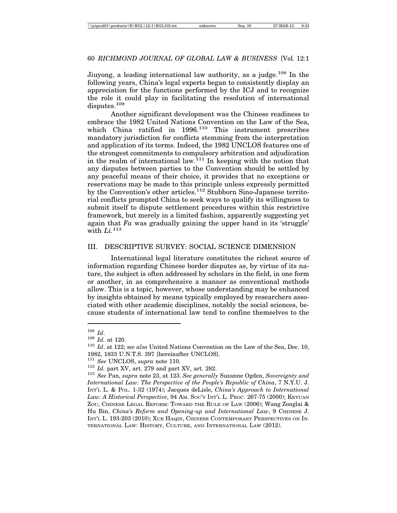Jiuyong, a leading international law authority, as a judge.<sup>108</sup> In the following years, China's legal experts began to consistently display an appreciation for the functions performed by the ICJ and to recognize the role it could play in facilitating the resolution of international disputes.109

Another significant development was the Chinese readiness to embrace the 1982 United Nations Convention on the Law of the Sea, which China ratified in  $1996$ <sup>110</sup> This instrument prescribes mandatory jurisdiction for conflicts stemming from the interpretation and application of its terms. Indeed, the 1982 UNCLOS features one of the strongest commitments to compulsory arbitration and adjudication in the realm of international law.<sup>111</sup> In keeping with the notion that any disputes between parties to the Convention should be settled by any peaceful means of their choice, it provides that no exceptions or reservations may be made to this principle unless expressly permitted by the Convention's other articles.112 Stubborn Sino-Japanese territorial conflicts prompted China to seek ways to qualify its willingness to submit itself to dispute settlement procedures within this restrictive framework, but merely in a limited fashion, apparently suggesting yet again that *Fa* was gradually gaining the upper hand in its 'struggle' with *Li.*<sup>113</sup>

# III. DESCRIPTIVE SURVEY: SOCIAL SCIENCE DIMENSION

International legal literature constitutes the richest source of information regarding Chinese border disputes as, by virtue of its nature, the subject is often addressed by scholars in the field, in one form or another, in as comprehensive a manner as conventional methods allow. This is a topic, however, whose understanding may be enhanced by insights obtained by means typically employed by researchers associated with other academic disciplines, notably the social sciences, because students of international law tend to confine themselves to the

<sup>108</sup> *Id*. <sup>109</sup> *Id.* at 120. <sup>110</sup> *Id*. at 122; *see also* United Nations Convention on the Law of the Sea, Dec. 10, 1982, 1833 U.N.T.S. 397 [hereinafter UNCLOS].<br><sup>111</sup> See UNCLOS, supra note 110.

<sup>&</sup>lt;sup>112</sup> *Id.* part XV, art. 279 and part XV, art. 282.<br><sup>113</sup> *See* Pan, *supra* note 23, at 123. *See generally* Suzanne Ogden, *Sovereignty and International Law: The Perspective of the People's Republic of China*, 7 N.Y.U. J. INT'L L. & POL. 1-32 (1974); Jacques deLisle, *China's Approach to International Law: A Historical Perspective*, 94 AM. SOC'Y INT'L L. PROC. 267-75 (2000); KEYUAN ZOU, CHINESE LEGAL REFORM: TOWARD THE RULE OF LAW (2006); Wang Zonglai & Hu Bin, *China's Reform and Opening-up and International Law*, 9 CHINESE J. INT'L L. 193-203 (2010); XUE HAQIN, CHINESE CONTEMPORARY PERSPECTIVES ON IN-TERNATIONAL LAW: HISTORY, CULTURE, AND INTERNATIONAL LAW (2012).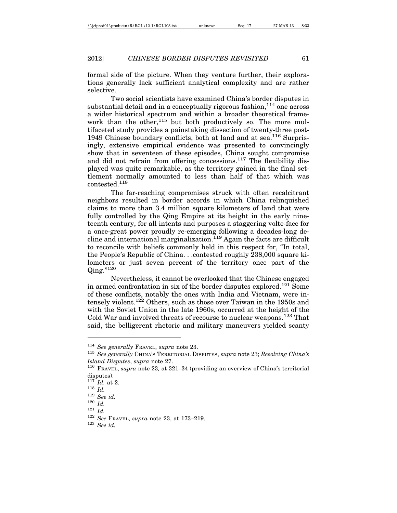formal side of the picture. When they venture further, their explorations generally lack sufficient analytical complexity and are rather selective.

Two social scientists have examined China's border disputes in substantial detail and in a conceptually rigorous fashion,  $114$  one across a wider historical spectrum and within a broader theoretical framework than the other,<sup>115</sup> but both productively so. The more multifaceted study provides a painstaking dissection of twenty-three post-1949 Chinese boundary conflicts, both at land and at sea.<sup>116</sup> Surprisingly, extensive empirical evidence was presented to convincingly show that in seventeen of these episodes, China sought compromise and did not refrain from offering concessions.117 The flexibility displayed was quite remarkable, as the territory gained in the final settlement normally amounted to less than half of that which was contested.118

The far-reaching compromises struck with often recalcitrant neighbors resulted in border accords in which China relinquished claims to more than 3.4 million square kilometers of land that were fully controlled by the Qing Empire at its height in the early nineteenth century, for all intents and purposes a staggering volte-face for a once-great power proudly re-emerging following a decades-long de $c$ line and international marginalization.<sup>119</sup> Again the facts are difficult to reconcile with beliefs commonly held in this respect for, "In total, the People's Republic of China. . .contested roughly 238,000 square kilometers or just seven percent of the territory once part of the  $Qine.^{"120}$ 

Nevertheless, it cannot be overlooked that the Chinese engaged in armed confrontation in six of the border disputes explored.<sup>121</sup> Some of these conflicts, notably the ones with India and Vietnam, were intensely violent.122 Others, such as those over Taiwan in the 1950s and with the Soviet Union in the late 1960s, occurred at the height of the Cold War and involved threats of recourse to nuclear weapons.123 That said, the belligerent rhetoric and military maneuvers yielded scanty

<sup>114</sup> *See generally* FRAVEL, *supra* note 23. <sup>115</sup> *See generally* CHINA'S TERRITORIAL DISPUTES, *supra* note 23; *Resolving China's Island Disputes, supra n*ote 27.<br><sup>116</sup> Fravel, *supra n*ote 23, at 321–34 (providing an overview of China's territorial

disputes).<br> $^{117}$  *Id.* at 2.

<sup>118</sup> *Id.* 120 *Id.* 120 *Id.* 120 *Id.* 121 *Id.* 122 *See FRAVEL, <i>supra* note 23, at 173–219. 123 *See id.*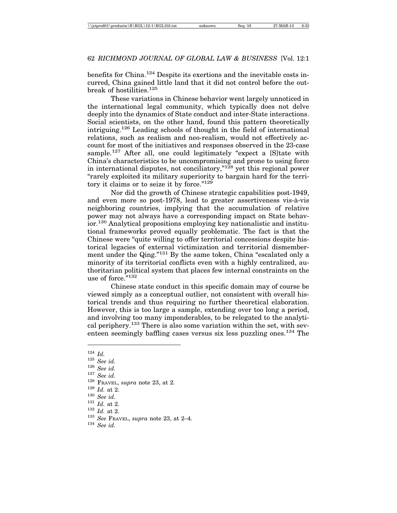benefits for China.<sup>124</sup> Despite its exertions and the inevitable costs incurred, China gained little land that it did not control before the outbreak of hostilities.<sup>125</sup>

These variations in Chinese behavior went largely unnoticed in the international legal community, which typically does not delve deeply into the dynamics of State conduct and inter-State interactions. Social scientists, on the other hand, found this pattern theoretically intriguing.126 Leading schools of thought in the field of international relations, such as realism and neo-realism, would not effectively account for most of the initiatives and responses observed in the 23-case sample.<sup>127</sup> After all, one could legitimately "expect a [S]tate with China's characteristics to be uncompromising and prone to using force in international disputes, not conciliatory,"128 yet this regional power "rarely exploited its military superiority to bargain hard for the territory it claims or to seize it by force."129

Nor did the growth of Chinese strategic capabilities post-1949, and even more so post-1978, lead to greater assertiveness vis-à-vis neighboring countries, implying that the accumulation of relative power may not always have a corresponding impact on State behavior.130 Analytical propositions employing key nationalistic and institutional frameworks proved equally problematic. The fact is that the Chinese were "quite willing to offer territorial concessions despite historical legacies of external victimization and territorial dismemberment under the Qing."<sup>131</sup> By the same token, China "escalated only a minority of its territorial conflicts even with a highly centralized, authoritarian political system that places few internal constraints on the use of force.<sup>"132</sup>

Chinese state conduct in this specific domain may of course be viewed simply as a conceptual outlier, not consistent with overall historical trends and thus requiring no further theoretical elaboration. However, this is too large a sample, extending over too long a period, and involving too many imponderables, to be relegated to the analytical periphery.<sup>133</sup> There is also some variation within the set, with seventeen seemingly baffling cases versus six less puzzling ones.<sup>134</sup> The

<sup>&</sup>lt;sup>124</sup> *Id.*<br>
<sup>125</sup> *See id.*<br>
<sup>126</sup> *See id.*<br>
<sup>127</sup> *See id.*<br>
<sup>128</sup> *Fravel, supra* note 23, at 2.<br>
<sup>129</sup> *Id.* at 2.<br>
<sup>130</sup> *See id.*<br>
<sup>131</sup> *Id.* at 2.<br>
<sup>132</sup> *Id.* at 2.<br>
<sup>133</sup> *See Fravel, supra* note 23, at 2–4.<br>
<sup></sup>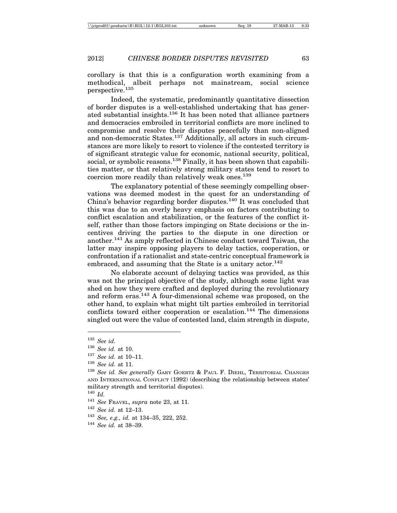corollary is that this is a configuration worth examining from a methodical, albeit perhaps not mainstream, social science perspective.135

Indeed, the systematic, predominantly quantitative dissection of border disputes is a well-established undertaking that has generated substantial insights.136 It has been noted that alliance partners and democracies embroiled in territorial conflicts are more inclined to compromise and resolve their disputes peacefully than non-aligned and non-democratic States.<sup>137</sup> Additionally, all actors in such circumstances are more likely to resort to violence if the contested territory is of significant strategic value for economic, national security, political, social, or symbolic reasons.<sup>138</sup> Finally, it has been shown that capabilities matter, or that relatively strong military states tend to resort to coercion more readily than relatively weak ones.<sup>139</sup>

The explanatory potential of these seemingly compelling observations was deemed modest in the quest for an understanding of China's behavior regarding border disputes.<sup>140</sup> It was concluded that this was due to an overly heavy emphasis on factors contributing to conflict escalation and stabilization, or the features of the conflict itself, rather than those factors impinging on State decisions or the incentives driving the parties to the dispute in one direction or another.141 As amply reflected in Chinese conduct toward Taiwan, the latter may inspire opposing players to delay tactics, cooperation, or confrontation if a rationalist and state-centric conceptual framework is embraced, and assuming that the State is a unitary actor.<sup>142</sup>

No elaborate account of delaying tactics was provided, as this was not the principal objective of the study, although some light was shed on how they were crafted and deployed during the revolutionary and reform eras.<sup>143</sup> A four-dimensional scheme was proposed, on the other hand, to explain what might tilt parties embroiled in territorial conflicts toward either cooperation or escalation.<sup>144</sup> The dimensions singled out were the value of contested land, claim strength in dispute,

<sup>135</sup> *See id.*

<sup>136</sup> *See id.* at 10.

<sup>137</sup> *See id.* at 10–11.

<sup>138</sup> *See id.* at 11.

<sup>139</sup> *See id. See generally* GARY GOERTZ & PAUL F. DIEHL, TERRITORIAL CHANGES AND INTERNATIONAL CONFLICT (1992) (describing the relationship between states' military strength and territorial disputes).

<sup>140</sup> *Id.*

<sup>141</sup> *See* FRAVEL, *supra* note 23, at 11.

<sup>142</sup> *See id.* at 12–13.

<sup>143</sup> *See, e.g., id.* at 134–35, 222, 252.

<sup>144</sup> *See id.* at 38–39.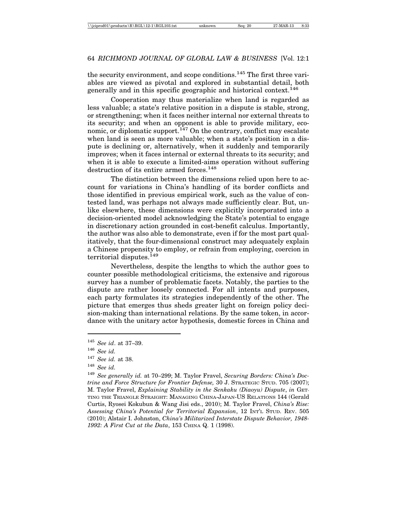the security environment, and scope conditions.<sup>145</sup> The first three variables are viewed as pivotal and explored in substantial detail, both generally and in this specific geographic and historical context.146

Cooperation may thus materialize when land is regarded as less valuable; a state's relative position in a dispute is stable, strong, or strengthening; when it faces neither internal nor external threats to its security; and when an opponent is able to provide military, economic, or diplomatic support.<sup>147</sup> On the contrary, conflict may escalate when land is seen as more valuable; when a state's position in a dispute is declining or, alternatively, when it suddenly and temporarily improves; when it faces internal or external threats to its security; and when it is able to execute a limited-aims operation without suffering destruction of its entire armed forces.<sup>148</sup>

The distinction between the dimensions relied upon here to account for variations in China's handling of its border conflicts and those identified in previous empirical work, such as the value of contested land, was perhaps not always made sufficiently clear. But, unlike elsewhere, these dimensions were explicitly incorporated into a decision-oriented model acknowledging the State's potential to engage in discretionary action grounded in cost-benefit calculus. Importantly, the author was also able to demonstrate, even if for the most part qualitatively, that the four-dimensional construct may adequately explain a Chinese propensity to employ, or refrain from employing, coercion in territorial disputes.<sup>149</sup>

Nevertheless, despite the lengths to which the author goes to counter possible methodological criticisms, the extensive and rigorous survey has a number of problematic facets. Notably, the parties to the dispute are rather loosely connected. For all intents and purposes, each party formulates its strategies independently of the other. The picture that emerges thus sheds greater light on foreign policy decision-making than international relations. By the same token, in accordance with the unitary actor hypothesis, domestic forces in China and

<sup>145</sup> *See id*. at 37–39.

<sup>146</sup> *See id.*

<sup>147</sup> *See id.* at 38.

<sup>148</sup> *See id.*

<sup>149</sup> *See generally id.* at 70–299; M. Taylor Fravel, *Securing Borders: China's Doctrine and Force Structure for Frontier Defense,* 30 J. STRATEGIC STUD. 705 (2007); M. Taylor Fravel, *Explaining Stability in the Senkaku (Diaoyu) Dispute*, *in* GET-TING THE TRIANGLE STRAIGHT: MANAGING CHINA-JAPAN-US RELATIONS 144 (Gerald Curtis, Ryosei Kokubun & Wang Jisi eds., 2010); M. Taylor Fravel, *China's Rise: Assessing China's Potential for Territorial Expansion*, 12 INT'L STUD. REV. 505 (2010); Alstair I. Johnston, *China's Militarized Interstate Dispute Behavior, 1948- 1992: A First Cut at the Data*, 153 CHINA Q. 1 (1998).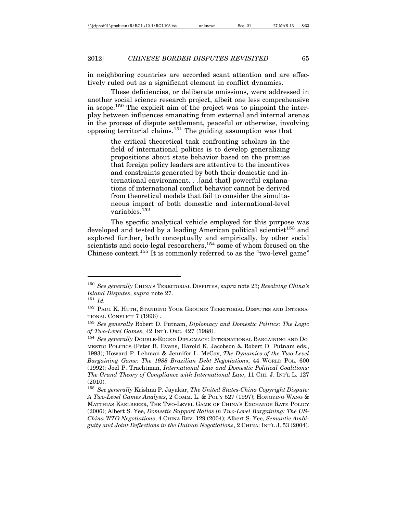in neighboring countries are accorded scant attention and are effectively ruled out as a significant element in conflict dynamics.

These deficiencies, or deliberate omissions, were addressed in another social science research project, albeit one less comprehensive in scope.150 The explicit aim of the project was to pinpoint the interplay between influences emanating from external and internal arenas in the process of dispute settlement, peaceful or otherwise, involving opposing territorial claims.<sup>151</sup> The guiding assumption was that

> the critical theoretical task confronting scholars in the field of international politics is to develop generalizing propositions about state behavior based on the premise that foreign policy leaders are attentive to the incentives and constraints generated by both their domestic and international environment. . .[and that] powerful explanations of international conflict behavior cannot be derived from theoretical models that fail to consider the simultaneous impact of both domestic and international-level variables.<sup>152</sup>

The specific analytical vehicle employed for this purpose was developed and tested by a leading American political scientist<sup>153</sup> and explored further, both conceptually and empirically, by other social scientists and socio-legal researchers,<sup>154</sup> some of whom focused on the Chinese context.<sup>155</sup> It is commonly referred to as the "two-level game"

<sup>150</sup> *See generally* CHINA'S TERRITORIAL DISPUTES, *supra* note 23; *Resolving China's Island Disputes*, *supra* note 27.

<sup>151</sup> *Id.*

<sup>&</sup>lt;sup>152</sup> PAUL K. HUTH, STANDING YOUR GROUND: TERRITORIAL DISPUTES AND INTERNA-TIONAL CONFLICT 7 (1996) .

<sup>153</sup> *See generally* Robert D. Putnam, *Diplomacy and Domestic Politics: The Logic of Two-Level Games*, 42 INT'L ORG. 427 (1988).

<sup>154</sup> *See generally* DOUBLE-EDGED DIPLOMACY: INTERNATIONAL BARGAINING AND DO-MESTIC POLITICS (Peter B. Evans, Harold K. Jacobson & Robert D. Putnam eds., 1993); Howard P. Lehman & Jennifer L. McCoy, *The Dynamics of the Two-Level Bargaining Game: The 1988 Brazilian Debt Negotiations*, 44 WORLD POL. 600 (1992); Joel P. Trachtman, *International Law and Domestic Political Coalitions: The Grand Theory of Compliance with International Law*, 11 CHI. J. INT'L L. 127 (2010).

<sup>155</sup> *See generally* Krishna P. Jayakar, *The United States-China Copyright Dispute: A Two-Level Games Analysis*, 2 COMM. L. & POL'Y 527 (1997); HONGYING WANG & MATTHIAS KAELBERER, THE TWO-LEVEL GAME OF CHINA'S EXCHANGE RATE POLICY (2006); Albert S. Yee, *Domestic Support Ratios in Two-Level Bargaining: The US-China WTO Negotiations*, 4 CHINA REV. 129 (2004); Albert S. Yee, *Semantic Ambiguity and Joint Deflections in the Hainan Negotiations*, 2 CHINA: INT'L J. 53 (2004).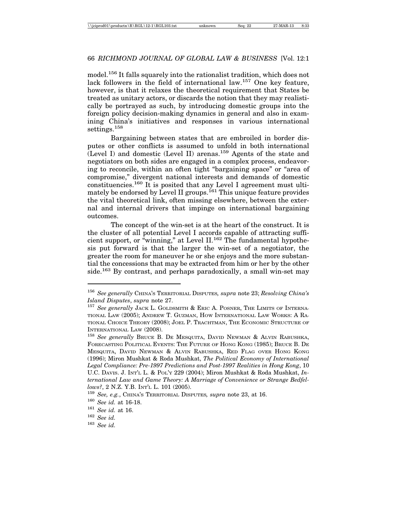model.<sup>156</sup> It falls squarely into the rationalist tradition, which does not lack followers in the field of international law.<sup>157</sup> One key feature, however, is that it relaxes the theoretical requirement that States be treated as unitary actors, or discards the notion that they may realistically be portrayed as such, by introducing domestic groups into the foreign policy decision-making dynamics in general and also in examining China's initiatives and responses in various international settings.<sup>158</sup>

Bargaining between states that are embroiled in border disputes or other conflicts is assumed to unfold in both international (Level I) and domestic (Level II) arenas.159 Agents of the state and negotiators on both sides are engaged in a complex process, endeavoring to reconcile, within an often tight "bargaining space" or "area of compromise," divergent national interests and demands of domestic constituencies.<sup>160</sup> It is posited that any Level I agreement must ultimately be endorsed by Level II groups.<sup>161</sup> This unique feature provides the vital theoretical link, often missing elsewhere, between the external and internal drivers that impinge on international bargaining outcomes.

The concept of the win-set is at the heart of the construct. It is the cluster of all potential Level I accords capable of attracting sufficient support, or "winning," at Level  $II$ .<sup>162</sup> The fundamental hypothesis put forward is that the larger the win-set of a negotiator, the greater the room for maneuver he or she enjoys and the more substantial the concessions that may be extracted from him or her by the other side.<sup>163</sup> By contrast, and perhaps paradoxically, a small win-set may

<sup>156</sup> *See generally* CHINA'S TERRITORIAL DISPUTES*, supra* note 23; *Resolving China's Island Disputes*, *supra* note 27.

<sup>157</sup> *See generally* JACK L. GOLDSMITH & ERIC A. POSNER, THE LIMITS OF INTERNA-TIONAL LAW (2005); ANDREW T. GUZMAN, HOW INTERNATIONAL LAW WORKS: A RA-TIONAL CHOICE THEORY (2008); JOEL P. TRACHTMAN, THE ECONOMIC STRUCTURE OF INTERNATIONAL LAW (2008).

<sup>158</sup> *See generally* BRUCE B. DE MESQUITA, DAVID NEWMAN & ALVIN RABUSHKA, FORECASTING POLITICAL EVENTS: THE FUTURE OF HONG KONG (1985); BRUCE B. DE MESQUITA, DAVID NEWMAN & ALVIN RABUSHKA, RED FLAG OVER HONG KONG (1996); Miron Mushkat & Roda Mushkat, *The Political Economy of International Legal Compliance: Pre-1997 Predictions and Post-1997 Realities in Hong Kong*, 10 U.C. DAVIS. J. INT'L L. & POL'Y 229 (2004); Miron Mushkat & Roda Mushkat, *International Law and Game Theory: A Marriage of Convenience or Strange Bedfellows?*, 2 N.Z. Y.B. INT'L L. 101 (2005).

<sup>159</sup> *See, e.g.*, CHINA'S TERRITORIAL DISPUTES*, supra* note 23, at 16.

<sup>160</sup> *See id.* at 16-18.

<sup>161</sup> *See id.* at 16.

<sup>162</sup> *See id.*

<sup>163</sup> *See id.*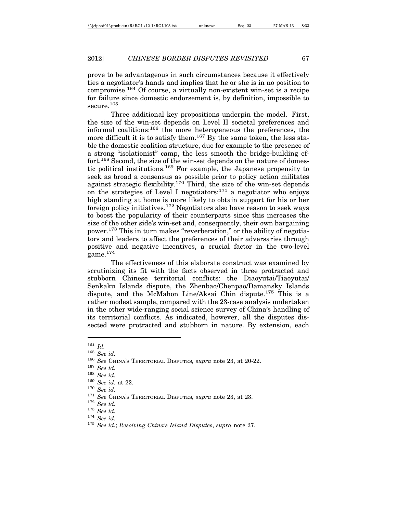prove to be advantageous in such circumstances because it effectively ties a negotiator's hands and implies that he or she is in no position to compromise.164 Of course, a virtually non-existent win-set is a recipe for failure since domestic endorsement is, by definition, impossible to secure.<sup>165</sup>

Three additional key propositions underpin the model. First, the size of the win-set depends on Level II societal preferences and informal coalitions:166 the more heterogeneous the preferences, the more difficult it is to satisfy them.<sup>167</sup> By the same token, the less stable the domestic coalition structure, due for example to the presence of a strong "isolationist" camp, the less smooth the bridge-building effort.<sup>168</sup> Second, the size of the win-set depends on the nature of domestic political institutions.169 For example, the Japanese propensity to seek as broad a consensus as possible prior to policy action militates against strategic flexibility.<sup>170</sup> Third, the size of the win-set depends on the strategies of Level I negotiators:171 a negotiator who enjoys high standing at home is more likely to obtain support for his or her foreign policy initiatives.172 Negotiators also have reason to seek ways to boost the popularity of their counterparts since this increases the size of the other side's win-set and, consequently, their own bargaining power.173 This in turn makes "reverberation," or the ability of negotiators and leaders to affect the preferences of their adversaries through positive and negative incentives, a crucial factor in the two-level game. $174$ 

The effectiveness of this elaborate construct was examined by scrutinizing its fit with the facts observed in three protracted and stubborn Chinese territorial conflicts: the Diaoyutai/Tiaoyutai/ Senkaku Islands dispute, the Zhenbao/Chenpao/Damansky Islands dispute, and the McMahon Line/Aksai Chin dispute.175 This is a rather modest sample, compared with the 23-case analysis undertaken in the other wide-ranging social science survey of China's handling of its territorial conflicts. As indicated, however, all the disputes dissected were protracted and stubborn in nature. By extension, each

<sup>164</sup> *Id.*

<sup>165</sup> *See id.*

<sup>166</sup> *See* CHINA'S TERRITORIAL DISPUTES*, supra* note 23, at 20-22.

<sup>167</sup> *See id.*

<sup>168</sup> *See id.*

<sup>&</sup>lt;sup>170</sup> See id.<br>
<sup>171</sup> See CHINA's TERRITORIAL DISPUTES, *supra* note 23, at 23.<br>
<sup>172</sup> See id.<br>
<sup>174</sup> See id.<br>
<sup>174</sup> See id.; Resolving China's Island Disputes, *supra* note 27.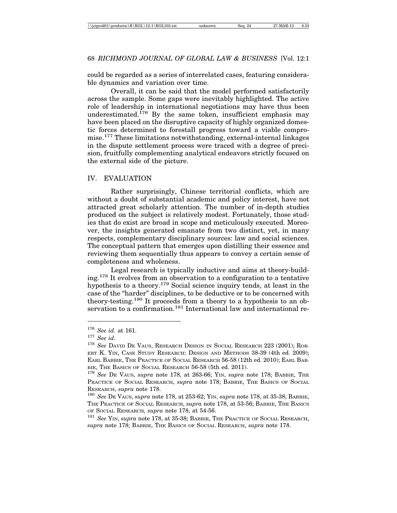could be regarded as a series of interrelated cases, featuring considerable dynamics and variation over time.

Overall, it can be said that the model performed satisfactorily across the sample. Some gaps were inevitably highlighted. The active role of leadership in international negotiations may have thus been underestimated.<sup>176</sup> By the same token, insufficient emphasis may have been placed on the disruptive capacity of highly organized domestic forces determined to forestall progress toward a viable compromise.177 These limitations notwithstanding, external-internal linkages in the dispute settlement process were traced with a degree of precision, fruitfully complementing analytical endeavors strictly focused on the external side of the picture.

#### IV. EVALUATION

Rather surprisingly, Chinese territorial conflicts, which are without a doubt of substantial academic and policy interest, have not attracted great scholarly attention. The number of in-depth studies produced on the subject is relatively modest. Fortunately, those studies that do exist are broad in scope and meticulously executed. Moreover, the insights generated emanate from two distinct, yet, in many respects, complementary disciplinary sources: law and social sciences. The conceptual pattern that emerges upon distilling their essence and reviewing them sequentially thus appears to convey a certain sense of completeness and wholeness.

Legal research is typically inductive and aims at theory-building.178 It evolves from an observation to a configuration to a tentative hypothesis to a theory.<sup>179</sup> Social science inquiry tends, at least in the case of the "harder" disciplines, to be deductive or to be concerned with theory-testing.180 It proceeds from a theory to a hypothesis to an observation to a confirmation.<sup>181</sup> International law and international re-

<sup>176</sup> *See id.* at 161.

<sup>177</sup> *See id.*

<sup>178</sup> *See* DAVID DE VAUS, RESEARCH DESIGN IN SOCIAL RESEARCH 223 (2001); ROB-ERT K. YIN, CASE STUDY RESEARCH: DESIGN AND METHODS 38-39 (4th ed. 2009); EARL BABBIE, THE PRACTICE OF SOCIAL RESEARCH 56-58 (12th ed. 2010); EARL BAB-BIE, THE BASICS OF SOCIAL RESEARCH 56-58 (5th ed. 2011).

<sup>179</sup> *See* DE VAUS, *supra* note 178, at 263-66; YIN, *supra* note 178; BABBIE, THE PRACTICE OF SOCIAL RESEARCH, *supra* note 178; BABBIE, THE BASICS OF SOCIAL RESEARCH, *supra* note 178.

<sup>180</sup> *See* DE VAUS, *supra* note 178, at 253-62; YIN, *supra* note 178, at 35-38; BABBIE, THE PRACTICE OF SOCIAL RESEARCH, *supra* note 178, at 53-56; BABBIE, THE BASICS OF SOCIAL RESEARCH*, supra* note 178, at 54-56.

<sup>181</sup> *See* YIN, *supra* note 178, at 35-38; BABBIE, THE PRACTICE OF SOCIAL RESEARCH, *supra* note 178; BABBIE, THE BASICS OF SOCIAL RESEARCH, *supra* note 178.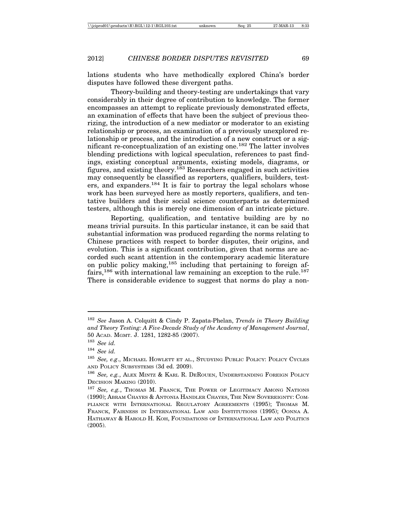lations students who have methodically explored China's border disputes have followed these divergent paths.

Theory-building and theory-testing are undertakings that vary considerably in their degree of contribution to knowledge. The former encompasses an attempt to replicate previously demonstrated effects, an examination of effects that have been the subject of previous theorizing, the introduction of a new mediator or moderator to an existing relationship or process, an examination of a previously unexplored relationship or process, and the introduction of a new construct or a significant re-conceptualization of an existing one.<sup>182</sup> The latter involves blending predictions with logical speculation, references to past findings, existing conceptual arguments, existing models, diagrams, or figures, and existing theory.183 Researchers engaged in such activities may consequently be classified as reporters, qualifiers, builders, testers, and expanders.<sup>184</sup> It is fair to portray the legal scholars whose work has been surveyed here as mostly reporters, qualifiers, and tentative builders and their social science counterparts as determined testers, although this is merely one dimension of an intricate picture.

Reporting, qualification, and tentative building are by no means trivial pursuits. In this particular instance, it can be said that substantial information was produced regarding the norms relating to Chinese practices with respect to border disputes, their origins, and evolution. This is a significant contribution, given that norms are accorded such scant attention in the contemporary academic literature on public policy making,  $185$  including that pertaining to foreign affairs,<sup>186</sup> with international law remaining an exception to the rule.<sup>187</sup> There is considerable evidence to suggest that norms do play a non-

<sup>182</sup> *See* Jason A. Colquitt & Cindy P. Zapata-Phelan, *Trends in Theory Building and Theory Testing: A Five-Decade Study of the Academy of Management Journal*, 50 ACAD. MGMT. J. 1281, 1282-85 (2007).

<sup>183</sup> *See id.*

<sup>&</sup>lt;sup>184</sup> *See id.*<br><sup>185</sup> *Soo e* 

See, e.g., MICHAEL HOWLETT ET AL., STUDYING PUBLIC POLICY: POLICY CYCLES AND POLICY SUBSYSTEMS (3d ed. 2009).

<sup>186</sup> *See, e.g.*, ALEX MINTZ & KARL R. DEROUEN, UNDERSTANDING FOREIGN POLICY DECISION MAKING (2010).

<sup>&</sup>lt;sup>187</sup> See, e.g., Thomas M. Franck, The Power of Legitimacy Among Nations (1990); ABRAM CHAYES & ANTONIA HANDLER CHAYES, THE NEW SOVEREIGNTY: COM-PLIANCE WITH INTERNATIONAL REGULATORY AGREEMENTS (1995); THOMAS M. FRANCK, FAIRNESS IN INTERNATIONAL LAW AND INSTITUTIONS (1995); OONNA A. HATHAWAY & HAROLD H. KOH, FOUNDATIONS OF INTERNATIONAL LAW AND POLITICS (2005).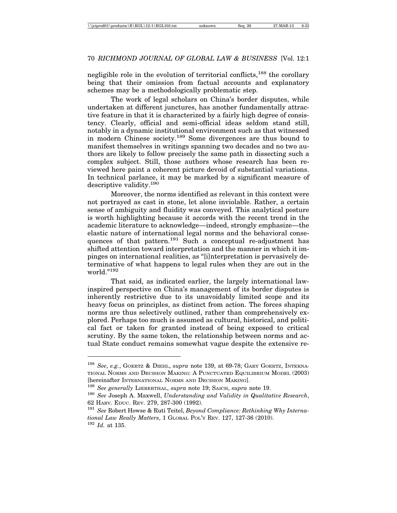negligible role in the evolution of territorial conflicts,<sup>188</sup> the corollary being that their omission from factual accounts and explanatory schemes may be a methodologically problematic step.

The work of legal scholars on China's border disputes, while undertaken at different junctures, has another fundamentally attractive feature in that it is characterized by a fairly high degree of consistency. Clearly, official and semi-official ideas seldom stand still, notably in a dynamic institutional environment such as that witnessed in modern Chinese society.189 Some divergences are thus bound to manifest themselves in writings spanning two decades and no two authors are likely to follow precisely the same path in dissecting such a complex subject. Still, those authors whose research has been reviewed here paint a coherent picture devoid of substantial variations. In technical parlance, it may be marked by a significant measure of descriptive validity.190

Moreover, the norms identified as relevant in this context were not portrayed as cast in stone, let alone inviolable. Rather, a certain sense of ambiguity and fluidity was conveyed. This analytical posture is worth highlighting because it accords with the recent trend in the academic literature to acknowledge—indeed, strongly emphasize—the elastic nature of international legal norms and the behavioral consequences of that pattern.<sup>191</sup> Such a conceptual re-adjustment has shifted attention toward interpretation and the manner in which it impinges on international realities, as "[i]nterpretation is pervasively determinative of what happens to legal rules when they are out in the world."192

That said, as indicated earlier, the largely international lawinspired perspective on China's management of its border disputes is inherently restrictive due to its unavoidably limited scope and its heavy focus on principles, as distinct from action. The forces shaping norms are thus selectively outlined, rather than comprehensively explored. Perhaps too much is assumed as cultural, historical, and political fact or taken for granted instead of being exposed to critical scrutiny. By the same token, the relationship between norms and actual State conduct remains somewhat vague despite the extensive re-

<sup>188</sup> *See*, *e.g.*, GOERTZ & DIEHL, *supra* note 139, at 69-78; GARY GOERTZ, INTERNA-TIONAL NORMS AND DECISION MAKING: A PUNCTUATED EQUILIBRIUM MODEL (2003) [hereinafter INTERNATIONAL NORMS AND DECISION MAKING].

<sup>189</sup> *See generally* LIEBERTHAL, *supra* note 19; SAICH, *supra* note 19.

<sup>190</sup> *See* Joseph A. Maxwell, *Understanding and Validity in Qualitative Research*, 62 HARV. EDUC. REV. 279, 287-300 (1992).

<sup>191</sup> *See* Robert Howse & Ruti Teitel, *Beyond Compliance: Rethinking Why International Law Really Matters*, 1 GLOBAL POL'Y REV. 127, 127-36 (2010). <sup>192</sup> *Id.* at 135.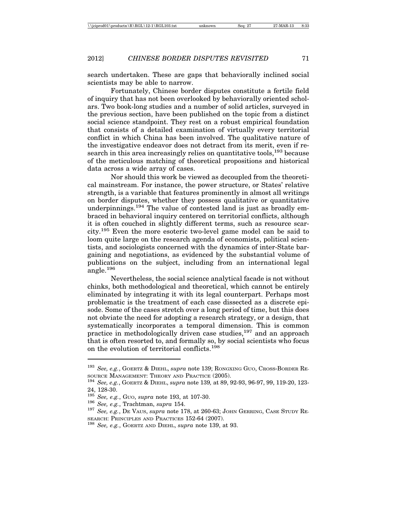search undertaken. These are gaps that behaviorally inclined social scientists may be able to narrow.

Fortunately, Chinese border disputes constitute a fertile field of inquiry that has not been overlooked by behaviorally oriented scholars. Two book-long studies and a number of solid articles, surveyed in the previous section, have been published on the topic from a distinct social science standpoint. They rest on a robust empirical foundation that consists of a detailed examination of virtually every territorial conflict in which China has been involved. The qualitative nature of the investigative endeavor does not detract from its merit, even if research in this area increasingly relies on quantitative tools,<sup>193</sup> because of the meticulous matching of theoretical propositions and historical data across a wide array of cases.

Nor should this work be viewed as decoupled from the theoretical mainstream. For instance, the power structure, or States' relative strength, is a variable that features prominently in almost all writings on border disputes, whether they possess qualitative or quantitative underpinnings.<sup>194</sup> The value of contested land is just as broadly embraced in behavioral inquiry centered on territorial conflicts, although it is often couched in slightly different terms, such as resource scarcity.195 Even the more esoteric two-level game model can be said to loom quite large on the research agenda of economists, political scientists, and sociologists concerned with the dynamics of inter-State bargaining and negotiations, as evidenced by the substantial volume of publications on the subject, including from an international legal angle.196

Nevertheless, the social science analytical facade is not without chinks, both methodological and theoretical, which cannot be entirely eliminated by integrating it with its legal counterpart. Perhaps most problematic is the treatment of each case dissected as a discrete episode. Some of the cases stretch over a long period of time, but this does not obviate the need for adopting a research strategy, or a design, that systematically incorporates a temporal dimension. This is common practice in methodologically driven case studies,<sup>197</sup> and an approach that is often resorted to, and formally so, by social scientists who focus on the evolution of territorial conflicts.<sup>198</sup>

<sup>193</sup> *See, e.g.*, GOERTZ & DIEHL, *supra* note 139; RONGXING GUO, CROSS-BORDER RE-SOURCE MANAGEMENT: THEORY AND PRACTICE (2005). <sup>194</sup> *See, e.g.*, GOERTZ & DIEHL, *supra* note 139*,* at 89, 92-93, 96-97, 99, 119-20, 123-

<sup>24, 128-30.</sup>

<sup>&</sup>lt;sup>195</sup> *See, e.g.*, Guo, *supra* note 193, at 107-30.<br><sup>196</sup> *See, e.g.*, Trachtman, *supra* 154.<br><sup>197</sup> *See, e.g.*, De VAus, *supra* note 178, at 260-63; JOHN GERRING, CASE STUDY RE-SEARCH: PRINCIPLES AND PRACTICES 152-64 (2007). <sup>198</sup> *See, e.g.*, GOERTZ AND DIEHL, *supra* note 139, at 93.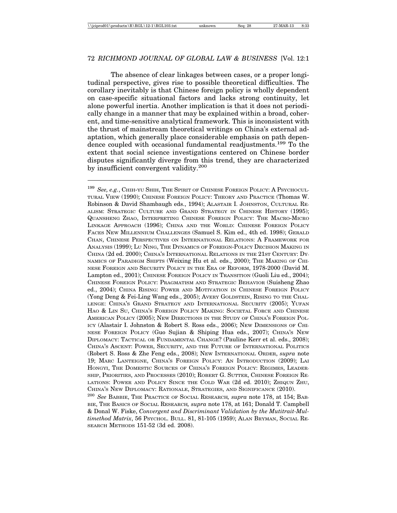The absence of clear linkages between cases, or a proper longitudinal perspective, gives rise to possible theoretical difficulties. The corollary inevitably is that Chinese foreign policy is wholly dependent on case-specific situational factors and lacks strong continuity, let alone powerful inertia. Another implication is that it does not periodically change in a manner that may be explained within a broad, coherent, and time-sensitive analytical framework. This is inconsistent with the thrust of mainstream theoretical writings on China's external adaptation, which generally place considerable emphasis on path dependence coupled with occasional fundamental readjustments.<sup>199</sup> To the extent that social science investigations centered on Chinese border disputes significantly diverge from this trend, they are characterized by insufficient convergent validity.<sup>200</sup>

<sup>199</sup> *See, e.g.*, CHIH-YU SHIH, THE SPIRIT OF CHINESE FOREIGN POLICY: A PSYCHOCUL-TURAL VIEW (1990); CHINESE FOREIGN POLICY: THEORY AND PRACTICE (Thomas W. Robinson & David Shambaugh eds., 1994); ALASTAIR I. JOHNSTON, CULTURAL RE-ALISM: STRATEGIC CULTURE AND GRAND STRATEGY IN CHINESE HISTORY (1995); QUANSHENG ZHAO, INTERPRETING CHINESE FOREIGN POLICY: THE MACRO-MICRO LINKAGE APPROACH (1996); CHINA AND THE WORLD: CHINESE FOREIGN POLICY FACES NEW MILLENNIUM CHALLENGES (Samuel S. Kim ed., 4th ed. 1998); GERALD CHAN, CHINESE PERSPECTIVES ON INTERNATIONAL RELATIONS: A FRAMEWORK FOR ANALYSIS (1999); LU NING, THE DYNAMICS OF FOREIGN-POLICY DECISION MAKING IN CHINA (2d ed. 2000); CHINA'S INTERNATIONAL RELATIONS IN THE 21ST CENTURY: DY-NAMICS OF PARADIGM SHIFTS (Weixing Hu et al. eds., 2000); THE MAKING OF CHI-NESE FOREIGN AND SECURITY POLICY IN THE ERA OF REFORM, 1978-2000 (David M. Lampton ed., 2001); CHINESE FOREIGN POLICY IN TRANSITION (Guoli Liu ed., 2004); CHINESE FOREIGN POLICY: PRAGMATISM AND STRATEGIC BEHAVIOR (Suisheng Zhao ed., 2004); CHINA RISING: POWER AND MOTIVATION IN CHINESE FOREIGN POLICY (Yong Deng & Fei-Ling Wang eds., 2005); AVERY GOLDSTEIN, RISING TO THE CHAL-LENGE: CHINA'S GRAND STRATEGY AND INTERNATIONAL SECURITY (2005); YUFAN HAO & LIN SU, CHINA'S FOREIGN POLICY MAKING: SOCIETAL FORCE AND CHINESE AMERICAN POLICY (2005); NEW DIRECTIONS IN THE STUDY OF CHINA'S FOREIGN POL-ICY (Alastair I. Johnston & Robert S. Ross eds., 2006); NEW DIMENSIONS OF CHI-NESE FOREIGN POLICY (Guo Sujian & Shiping Hua eds., 2007); CHINA'S NEW DIPLOMACY: TACTICAL OR FUNDAMENTAL CHANGE? (Pauline Kerr et al. eds., 2008); CHINA'S ASCENT: POWER, SECURITY, AND THE FUTURE OF INTERNATIONAL POLITICS (Robert S. Ross & Zhe Feng eds., 2008); NEW INTERNATIONAL ORDER, *supra* note 19; MARC LANTEIGNE, CHINA'S FOREIGN POLICY: AN INTRODUCTION (2009); LAI HONGYI, THE DOMESTIC SOURCES OF CHINA'S FOREIGN POLICY: REGIMES, LEADER-SHIP, PRIORITIES, AND PROCESSES (2010); ROBERT G. SUTTER, CHINESE FOREIGN RE-LATIONS: POWER AND POLICY SINCE THE COLD WAR (2d ed. 2010); ZHIQUN ZHU, CHINA'S NEW DIPLOMACY: RATIONALE, STRATEGIES, AND SIGNIFICANCE (2010).

<sup>200</sup> *See* BABBIE, THE PRACTICE OF SOCIAL RESEARCH*, supra* note 178, at 154; BAB-BIE, THE BASICS OF SOCIAL RESEARCH*, supra* note 178, at 161; Donald T. Campbell & Donal W. Fiske, *Convergent and Discriminant Validation by the Mutitrait-Multimethod Matrix*, 56 PSYCHOL. BULL. 81, 81-105 (1959); ALAN BRYMAN, SOCIAL RE-SEARCH METHODS 151-52 (3d ed. 2008).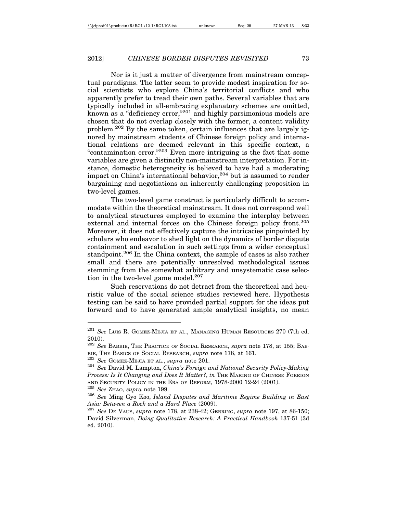Nor is it just a matter of divergence from mainstream conceptual paradigms. The latter seem to provide modest inspiration for social scientists who explore China's territorial conflicts and who apparently prefer to tread their own paths. Several variables that are typically included in all-embracing explanatory schemes are omitted, known as a "deficiency error,"201 and highly parsimonious models are chosen that do not overlap closely with the former, a content validity problem.202 By the same token, certain influences that are largely ignored by mainstream students of Chinese foreign policy and international relations are deemed relevant in this specific context, a "contamination error."203 Even more intriguing is the fact that some variables are given a distinctly non-mainstream interpretation. For instance, domestic heterogeneity is believed to have had a moderating impact on China's international behavior,  $204$  but is assumed to render bargaining and negotiations an inherently challenging proposition in two-level games.

The two-level game construct is particularly difficult to accommodate within the theoretical mainstream. It does not correspond well to analytical structures employed to examine the interplay between external and internal forces on the Chinese foreign policy front.<sup>205</sup> Moreover, it does not effectively capture the intricacies pinpointed by scholars who endeavor to shed light on the dynamics of border dispute containment and escalation in such settings from a wider conceptual standpoint.<sup>206</sup> In the China context, the sample of cases is also rather small and there are potentially unresolved methodological issues stemming from the somewhat arbitrary and unsystematic case selection in the two-level game model.<sup>207</sup>

Such reservations do not detract from the theoretical and heuristic value of the social science studies reviewed here. Hypothesis testing can be said to have provided partial support for the ideas put forward and to have generated ample analytical insights, no mean

<sup>205</sup> *See* ZHAO, *supra* note 199.

<sup>201</sup> *See* LUIS R. GOMEZ-MEJIA ET AL., MANAGING HUMAN RESOURCES 270 (7th ed. 2010).

<sup>202</sup> *See* BABBIE, THE PRACTICE OF SOCIAL RESEARCH, *supra* note 178, at 155; BAB-BIE, THE BASICS OF SOCIAL RESEARCH, *supra* note 178, at 161.

<sup>203</sup> *See* GOMEZ-MEJIA ET AL., *supra* note 201.

<sup>204</sup> *See* David M. Lampton, *China's Foreign and National Security Policy-Making Process: Is It Changing and Does It Matter?*, *in* THE MAKING OF CHINESE FOREIGN AND SECURITY POLICY IN THE ERA OF REFORM, 1978-2000 12-24 (2001).

<sup>206</sup> *See* Ming Gyo Koo, *Island Disputes and Maritime Regime Building in East Asia: Between a Rock and a Hard Place* (2009).

<sup>207</sup> *See* DE VAUS, *supra* note 178, at 238-42; GERRING, *supra* note 197, at 86-150; David Silverman, *Doing Qualitative Research: A Practical Handbook* 137-51 (3d ed. 2010).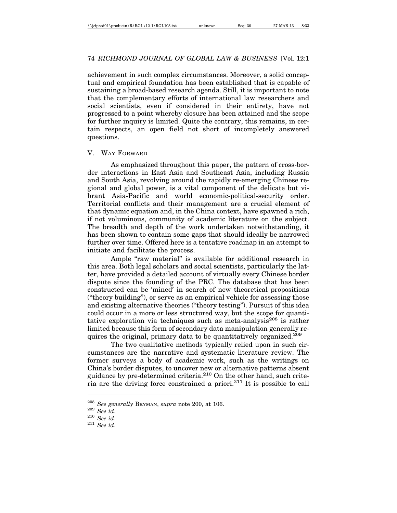achievement in such complex circumstances. Moreover, a solid conceptual and empirical foundation has been established that is capable of sustaining a broad-based research agenda. Still, it is important to note that the complementary efforts of international law researchers and social scientists, even if considered in their entirety, have not progressed to a point whereby closure has been attained and the scope for further inquiry is limited. Quite the contrary, this remains, in certain respects, an open field not short of incompletely answered questions.

#### V. WAY FORWARD

As emphasized throughout this paper, the pattern of cross-border interactions in East Asia and Southeast Asia, including Russia and South Asia, revolving around the rapidly re-emerging Chinese regional and global power, is a vital component of the delicate but vibrant Asia-Pacific and world economic-political-security order. Territorial conflicts and their management are a crucial element of that dynamic equation and, in the China context, have spawned a rich, if not voluminous, community of academic literature on the subject. The breadth and depth of the work undertaken notwithstanding, it has been shown to contain some gaps that should ideally be narrowed further over time. Offered here is a tentative roadmap in an attempt to initiate and facilitate the process.

Ample "raw material" is available for additional research in this area. Both legal scholars and social scientists, particularly the latter, have provided a detailed account of virtually every Chinese border dispute since the founding of the PRC. The database that has been constructed can be 'mined' in search of new theoretical propositions ("theory building"), or serve as an empirical vehicle for assessing those and existing alternative theories ("theory testing"). Pursuit of this idea could occur in a more or less structured way, but the scope for quantitative exploration via techniques such as meta-analysis<sup>208</sup> is rather limited because this form of secondary data manipulation generally requires the original, primary data to be quantitatively organized.<sup>209</sup>

The two qualitative methods typically relied upon in such circumstances are the narrative and systematic literature review. The former surveys a body of academic work, such as the writings on China's border disputes, to uncover new or alternative patterns absent guidance by pre-determined criteria.<sup>210</sup> On the other hand, such criteria are the driving force constrained a priori.<sup>211</sup> It is possible to call

<sup>208</sup> *See generally* BRYMAN, *supra* note 200, at 106. <sup>209</sup> *See id*. <sup>210</sup> *See id*. <sup>211</sup> *See id*.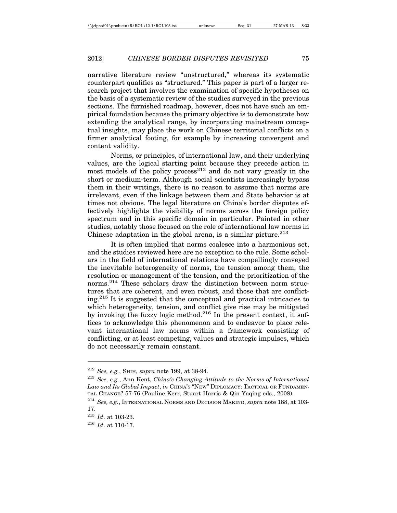narrative literature review "unstructured," whereas its systematic counterpart qualifies as "structured." This paper is part of a larger research project that involves the examination of specific hypotheses on the basis of a systematic review of the studies surveyed in the previous sections. The furnished roadmap, however, does not have such an empirical foundation because the primary objective is to demonstrate how extending the analytical range, by incorporating mainstream conceptual insights, may place the work on Chinese territorial conflicts on a firmer analytical footing, for example by increasing convergent and content validity.

Norms, or principles, of international law, and their underlying values, are the logical starting point because they precede action in most models of the policy process<sup>212</sup> and do not vary greatly in the short or medium-term. Although social scientists increasingly bypass them in their writings, there is no reason to assume that norms are irrelevant, even if the linkage between them and State behavior is at times not obvious. The legal literature on China's border disputes effectively highlights the visibility of norms across the foreign policy spectrum and in this specific domain in particular. Painted in other studies, notably those focused on the role of international law norms in Chinese adaptation in the global arena, is a similar picture.  $2^{13}$ 

It is often implied that norms coalesce into a harmonious set, and the studies reviewed here are no exception to the rule. Some scholars in the field of international relations have compellingly conveyed the inevitable heterogeneity of norms, the tension among them, the resolution or management of the tension, and the prioritization of the norms.<sup>214</sup> These scholars draw the distinction between norm structures that are coherent, and even robust, and those that are conflicting.215 It is suggested that the conceptual and practical intricacies to which heterogeneity, tension, and conflict give rise may be mitigated by invoking the fuzzy logic method.<sup>216</sup> In the present context, it suffices to acknowledge this phenomenon and to endeavor to place relevant international law norms within a framework consisting of conflicting, or at least competing, values and strategic impulses, which do not necessarily remain constant.

<sup>212</sup> *See, e.g.*, SHIH, *supra* note 199, at 38-94.

<sup>213</sup> *See, e.g.*, Ann Kent, *China's Changing Attitude to the Norms of International Law and Its Global Impact*, *in* CHINA'S "NEW" DIPLOMACY: TACTICAL OR FUNDAMEN-TAL CHANGE? 57-76 (Pauline Kerr, Stuart Harris & Qin Yaqing eds., 2008).

<sup>214</sup> *See, e.g.*, INTERNATIONAL NORMS AND DECISION MAKING, *supra* note 188, at 103- 17.

<sup>215</sup> *Id*. at 103-23.

<sup>216</sup> *Id*. at 110-17.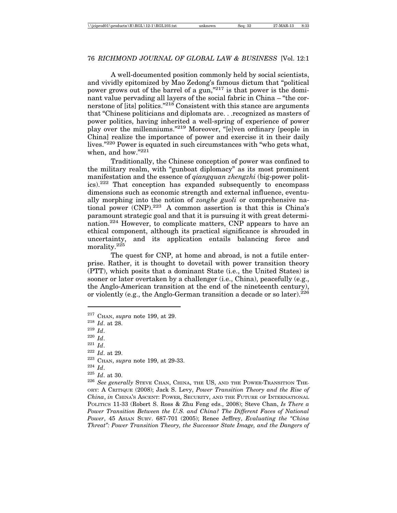A well-documented position commonly held by social scientists, and vividly epitomized by Mao Zedong's famous dictum that "political power grows out of the barrel of a gun,"<sup>217</sup> is that power is the dominant value pervading all layers of the social fabric in China – "the cornerstone of [its] politics.<sup>"218</sup> Consistent with this stance are arguments that "Chinese politicians and diplomats are. . .recognized as masters of power politics, having inherited a well-spring of experience of power play over the millenniums."219 Moreover, "[e]ven ordinary [people in China] realize the importance of power and exercise it in their daily lives."220 Power is equated in such circumstances with "who gets what, when, and how."221

Traditionally, the Chinese conception of power was confined to the military realm, with "gunboat diplomacy" as its most prominent manifestation and the essence of *qiangquan zhengzhi* (big-power politics).222 That conception has expanded subsequently to encompass dimensions such as economic strength and external influence, eventually morphing into the notion of *zonghe guoli* or comprehensive national power (CNP).223 A common assertion is that this is China's paramount strategic goal and that it is pursuing it with great determination.<sup>224</sup> However, to complicate matters, CNP appears to have an ethical component, although its practical significance is shrouded in uncertainty, and its application entails balancing force and and its application entails balancing force and morality.<sup>225</sup>

The quest for CNP, at home and abroad, is not a futile enterprise. Rather, it is thought to dovetail with power transition theory (PTT), which posits that a dominant State (i.e., the United States) is sooner or later overtaken by a challenger (i.e., China), peacefully (e.g., the Anglo-American transition at the end of the nineteenth century), or violently (e.g., the Anglo-German transition a decade or so later).  $226$ 

- <sup>221</sup> *Id*.
- <sup>222</sup> *Id*. at 29.

<sup>217</sup> CHAN, *supra* note 199, at 29.

<sup>218</sup> *Id*. at 28.

<sup>219</sup> *Id*.

<sup>220</sup> *Id*.

<sup>223</sup> CHAN, *supra* note 199, at 29-33.

<sup>224</sup> *Id*.

 $\frac{225}{226}$  *Id.* at 30.

See generally STEVE CHAN, CHINA, THE US, AND THE POWER-TRANSITION THE-ORY: A CRITIQUE (2008); Jack S. Levy, *Power Transition Theory and the Rise of China*, *in* CHINA'S ASCENT: POWER, SECURITY, AND THE FUTURE OF INTERNATIONAL POLITICS 11-33 (Robert S. Ross & Zhu Feng eds., 2008); Steve Chan, *Is There a Power Transition Between the U.S. and China? The Different Faces of National Power*, 45 ASIAN SURV. 687-701 (2005); Renee Jeffrey, *Evaluating the "China Threat": Power Transition Theory, the Successor State Image, and the Dangers of*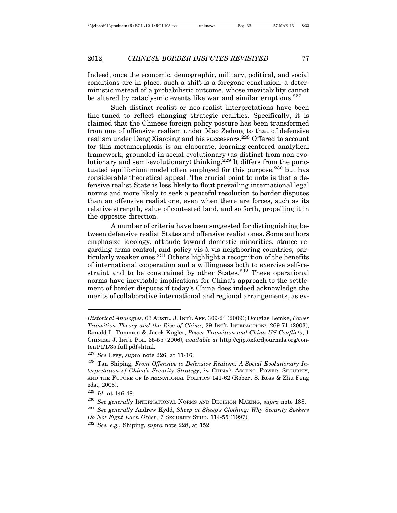Indeed, once the economic, demographic, military, political, and social conditions are in place, such a shift is a foregone conclusion, a deterministic instead of a probabilistic outcome, whose inevitability cannot be altered by cataclysmic events like war and similar eruptions.<sup>227</sup>

Such distinct realist or neo-realist interpretations have been fine-tuned to reflect changing strategic realities. Specifically, it is claimed that the Chinese foreign policy posture has been transformed from one of offensive realism under Mao Zedong to that of defensive realism under Deng Xiaoping and his successors.<sup>228</sup> Offered to account for this metamorphosis is an elaborate, learning-centered analytical framework, grounded in social evolutionary (as distinct from non-evolutionary and semi-evolutionary) thinking.<sup>229</sup> It differs from the punctuated equilibrium model often employed for this purpose,<sup>230</sup> but has considerable theoretical appeal. The crucial point to note is that a defensive realist State is less likely to flout prevailing international legal norms and more likely to seek a peaceful resolution to border disputes than an offensive realist one, even when there are forces, such as its relative strength, value of contested land, and so forth, propelling it in the opposite direction.

A number of criteria have been suggested for distinguishing between defensive realist States and offensive realist ones. Some authors emphasize ideology, attitude toward domestic minorities, stance regarding arms control, and policy vis-à-vis neighboring countries, particularly weaker ones.<sup>231</sup> Others highlight a recognition of the benefits of international cooperation and a willingness both to exercise self-restraint and to be constrained by other States.<sup>232</sup> These operational norms have inevitable implications for China's approach to the settlement of border disputes if today's China does indeed acknowledge the merits of collaborative international and regional arrangements, as ev-

*Historical Analogies*, 63 AUSTL. J. INT'L AFF. 309-24 (2009); Douglas Lemke, *Power Transition Theory and the Rise of China*, 29 INT'L INTERACTIONS 269-71 (2003); Ronald L. Tammen & Jacek Kugler, *Power Transition and China US Conflicts*, 1 CHINESE J. INT'L POL. 35-55 (2006), *available at* http://cjip.oxfordjournals.org/content/1/1/35.full.pdf+html.

<sup>227</sup> *See* Levy, *supra* note 226, at 11-16.

<sup>228</sup> Tan Shiping, *From Offensive to Defensive Realism: A Social Evolutionary Interpretation of China's Security Strategy*, *in* CHINA'S ASCENT: POWER, SECURITY, AND THE FUTURE OF INTERNATIONAL POLITICS 141-62 (Robert S. Ross & Zhu Feng eds., 2008).

<sup>229</sup> *Id*. at 146-48.

<sup>230</sup> *See generally* INTERNATIONAL NORMS AND DECISION MAKING, *supra* note 188.

<sup>231</sup> *See generally* Andrew Kydd, *Sheep in Sheep's Clothing: Why Security Seekers*

*Do Not Fight Each Other*, 7 SECURITY STUD. 114-55 (1997).

<sup>232</sup> *See, e.g.*, Shiping, *supra* note 228, at 152.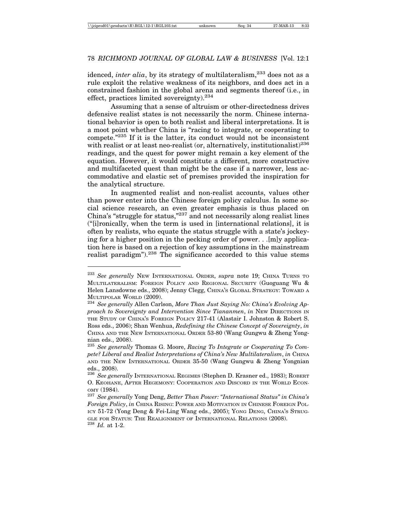idenced, *inter alia*, by its strategy of multilateralism,<sup>233</sup> does not as a rule exploit the relative weakness of its neighbors, and does act in a constrained fashion in the global arena and segments thereof (i.e., in effect, practices limited sovereignty.<sup>234</sup>

Assuming that a sense of altruism or other-directedness drives defensive realist states is not necessarily the norm. Chinese international behavior is open to both realist and liberal interpretations. It is a moot point whether China is "racing to integrate, or cooperating to compete."235 If it is the latter, its conduct would not be inconsistent with realist or at least neo-realist (or, alternatively, institutionalist)<sup>236</sup> readings, and the quest for power might remain a key element of the equation. However, it would constitute a different, more constructive and multifaceted quest than might be the case if a narrower, less accommodative and elastic set of premises provided the inspiration for the analytical structure.

In augmented realist and non-realist accounts, values other than power enter into the Chinese foreign policy calculus. In some social science research, an even greater emphasis is thus placed on China's "struggle for status,"237 and not necessarily along realist lines ("[i]ronically, when the term is used in [international relations], it is often by realists, who equate the status struggle with a state's jockeying for a higher position in the pecking order of power. . .[m]y application here is based on a rejection of key assumptions in the mainstream realist paradigm").<sup>238</sup> The significance accorded to this value stems

<sup>233</sup> *See generally* NEW INTERNATIONAL ORDER, *supra* note 19; CHINA TURNS TO MULTILATERALISM: FOREIGN POLICY AND REGIONAL SECURITY (Guoguang Wu & Helen Lansdowne eds., 2008); Jenny Clegg, CHINA'S GLOBAL STRATEGY: TOWARD A

MULTIPOLAR WORLD (2009). <sup>234</sup> *See generally* Allen Carlson, *More Than Just Saying No: China's Evolving Approach to Sovereignty and Intervention Since Tiananmen*, *in* NEW DIRECTIONS IN THE STUDY OF CHINA'S FOREIGN POLICY 217-41 (Alastair I. Johnston & Robert S. Ross eds., 2006); Shan Wenhua, *Redefining the Chinese Concept of Sovereignty*, *in* CHINA AND THE NEW INTERNATIONAL ORDER 53-80 (Wang Gungwu & Zheng Yongnian eds., 2008).

<sup>235</sup> *See generally* Thomas G. Moore, *Racing To Integrate or Cooperating To Compete? Liberal and Realist Interpretations of China's New Multilateralism*, *in* CHINA AND THE NEW INTERNATIONAL ORDER 35-50 (Wang Gungwu & Zheng Yongnian eds., 2008).

<sup>236</sup> *See generally* INTERNATIONAL REGIMES (Stephen D. Krasner ed., 1983); ROBERT O. KEOHANE, AFTER HEGEMONY: COOPERATION AND DISCORD IN THE WORLD ECON-OMY (1984). <sup>237</sup> *See generally* Yong Deng, *Better Than Power: "International Status" in China's*

*Foreign Policy*, *in* CHINA RISING: POWER AND MOTIVATION IN CHINESE FOREIGN POL-ICY 51-72 (Yong Deng & Fei-Ling Wang eds., 2005); YONG DENG, CHINA'S STRUG-GLE FOR STATUS: THE REALIGNMENT OF INTERNATIONAL RELATIONS (2008). <sup>238</sup> *Id.* at 1-2.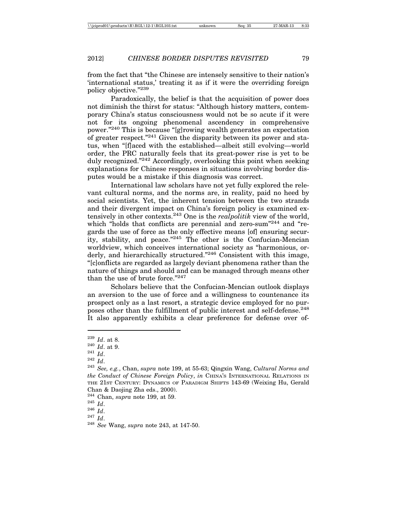from the fact that "the Chinese are intensely sensitive to their nation's 'international status,' treating it as if it were the overriding foreign policy objective."239

Paradoxically, the belief is that the acquisition of power does not diminish the thirst for status: "Although history matters, contemporary China's status consciousness would not be so acute if it were not for its ongoing phenomenal ascendency in comprehensive power."240 This is because "[g]rowing wealth generates an expectation of greater respect."241 Given the disparity between its power and status, when "[f]aced with the established—albeit still evolving—world order, the PRC naturally feels that its great-power rise is yet to be duly recognized."242 Accordingly, overlooking this point when seeking explanations for Chinese responses in situations involving border disputes would be a mistake if this diagnosis was correct.

International law scholars have not yet fully explored the relevant cultural norms, and the norms are, in reality, paid no heed by social scientists. Yet, the inherent tension between the two strands and their divergent impact on China's foreign policy is examined extensively in other contexts.243 One is the *realpolitik* view of the world, which "holds that conflicts are perennial and zero-sum"<sup>244</sup> and "regards the use of force as the only effective means [of] ensuring security, stability, and peace."245 The other is the Confucian-Mencian worldview, which conceives international society as "harmonious, orderly, and hierarchically structured."<sup>246</sup> Consistent with this image, "[c]onflicts are regarded as largely deviant phenomena rather than the nature of things and should and can be managed through means other than the use of brute force."247

Scholars believe that the Confucian-Mencian outlook displays an aversion to the use of force and a willingness to countenance its prospect only as a last resort, a strategic device employed for no purposes other than the fulfillment of public interest and self-defense.<sup>248</sup> It also apparently exhibits a clear preference for defense over of-

- $\frac{^{241}}{^{242}}$  *Id.*
- 

<sup>239</sup> *Id*. at 8.

<sup>240</sup> *Id*. at 9.

<sup>242</sup> *Id*. <sup>243</sup> *See, e.g.*, Chan, *supra* note 199, at 55-63; Qingxin Wang, *Cultural Norms and the Conduct of Chinese Foreign Policy*, *in* CHINA'S INTERNATIONAL RELATIONS IN THE 21ST CENTURY: DYNAMICS OF PARADIGM SHIFTS 143-69 (Weixing Hu, Gerald Chan & Daojing Zha eds., 2000).

<sup>244</sup> Chan, *supra* note 199, at 59. <sup>245</sup> *Id*. <sup>246</sup> *Id*. <sup>247</sup> *Id*. <sup>248</sup> *See* Wang, *supra* note 243, at 147-50.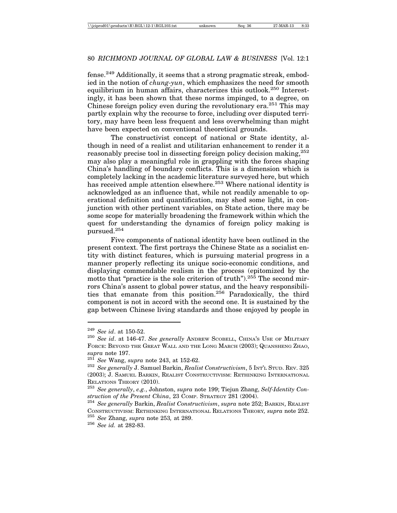fense.249 Additionally, it seems that a strong pragmatic streak, embodied in the notion of *chung-yun*, which emphasizes the need for smooth equilibrium in human affairs, characterizes this outlook.<sup>250</sup> Interestingly, it has been shown that these norms impinged, to a degree, on Chinese foreign policy even during the revolutionary era.<sup>251</sup> This may partly explain why the recourse to force, including over disputed territory, may have been less frequent and less overwhelming than might have been expected on conventional theoretical grounds.

The constructivist concept of national or State identity, although in need of a realist and utilitarian enhancement to render it a reasonably precise tool in dissecting foreign policy decision making,<sup>252</sup> may also play a meaningful role in grappling with the forces shaping China's handling of boundary conflicts. This is a dimension which is completely lacking in the academic literature surveyed here, but which has received ample attention elsewhere.<sup>253</sup> Where national identity is acknowledged as an influence that, while not readily amenable to operational definition and quantification, may shed some light, in conjunction with other pertinent variables, on State action, there may be some scope for materially broadening the framework within which the quest for understanding the dynamics of foreign policy making is pursued.254

Five components of national identity have been outlined in the present context. The first portrays the Chinese State as a socialist entity with distinct features, which is pursuing material progress in a manner properly reflecting its unique socio-economic conditions, and displaying commendable realism in the process (epitomized by the motto that "practice is the sole criterion of truth").<sup>255</sup> The second mirrors China's assent to global power status, and the heavy responsibilities that emanate from this position.<sup>256</sup> Paradoxically, the third component is not in accord with the second one. It is sustained by the gap between Chinese living standards and those enjoyed by people in

<sup>249</sup> *See id*. at 150-52.

<sup>250</sup> *See id*. at 146-47. *See generally* ANDREW SCOBELL, CHINA'S USE OF MILITARY FORCE: BEYOND THE GREAT WALL AND THE LONG MARCH (2003); QUANSHENG ZHAO, *supra* note 197.

<sup>251</sup> *See* Wang, *supra* note 243, at 152-62.

<sup>252</sup> *See generally* J. Samuel Barkin, *Realist Constructivism*, 5 INT'L STUD. REV. 325 (2003); J. SAMUEL BARKIN, REALIST CONSTRUCTIVISM: RETHINKING INTERNATIONAL RELATIONS THEORY (2010).

<sup>253</sup> *See generally*, *e.g.*, Johnston, *supra* note 199; Tiejun Zhang, *Self-Identity Construction of the Present China*, 23 COMP. STRATEGY 281 (2004).

<sup>254</sup> *See generally* Barkin, *Realist Constructivism*, *supra* note 252; BARKIN, REALIST CONSTRUCTIVISM: RETHINKING INTERNATIONAL RELATIONS THEORY*, supra* note 252. <sup>255</sup> *See* Zhang, *supra* note 253*,* at 289.

<sup>256</sup> *See id.* at 282-83.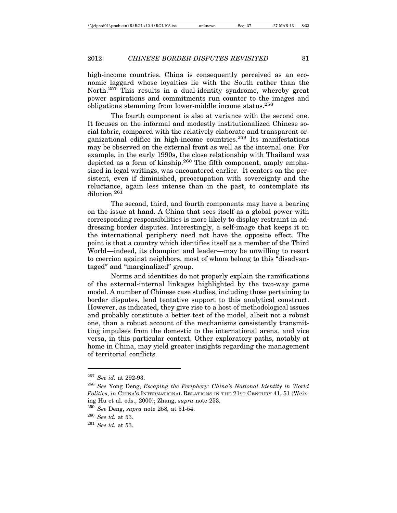high-income countries. China is consequently perceived as an economic laggard whose loyalties lie with the South rather than the North.<sup>257</sup> This results in a dual-identity syndrome, whereby great power aspirations and commitments run counter to the images and obligations stemming from lower-middle income status.<sup>258</sup>

The fourth component is also at variance with the second one. It focuses on the informal and modestly institutionalized Chinese social fabric, compared with the relatively elaborate and transparent organizational edifice in high-income countries.259 Its manifestations may be observed on the external front as well as the internal one. For example, in the early 1990s, the close relationship with Thailand was depicted as a form of kinship.<sup>260</sup> The fifth component, amply emphasized in legal writings, was encountered earlier. It centers on the persistent, even if diminished, preoccupation with sovereignty and the reluctance, again less intense than in the past, to contemplate its dilution.261

The second, third, and fourth components may have a bearing on the issue at hand. A China that sees itself as a global power with corresponding responsibilities is more likely to display restraint in addressing border disputes. Interestingly, a self-image that keeps it on the international periphery need not have the opposite effect. The point is that a country which identifies itself as a member of the Third World—indeed, its champion and leader—may be unwilling to resort to coercion against neighbors, most of whom belong to this "disadvantaged" and "marginalized" group.

Norms and identities do not properly explain the ramifications of the external-internal linkages highlighted by the two-way game model. A number of Chinese case studies, including those pertaining to border disputes, lend tentative support to this analytical construct. However, as indicated, they give rise to a host of methodological issues and probably constitute a better test of the model, albeit not a robust one, than a robust account of the mechanisms consistently transmitting impulses from the domestic to the international arena, and vice versa, in this particular context. Other exploratory paths, notably at home in China, may yield greater insights regarding the management of territorial conflicts.

<sup>257</sup> *See id.* at 292-93.

<sup>258</sup> *See* Yong Deng, *Escaping the Periphery: China's National Identity in World Politics*, *in* CHINA'S INTERNATIONAL RELATIONS IN THE 21ST CENTURY 41, 51 (Weixing Hu et al. eds., 2000); Zhang, *supra* note 253*.*

<sup>259</sup> *See* Deng, *supra* note 258*,* at 51-54.

<sup>260</sup> *See id.* at 53.

<sup>261</sup> *See id.* at 53.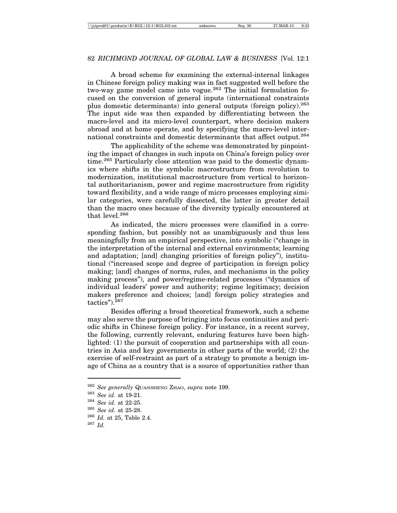A broad scheme for examining the external-internal linkages in Chinese foreign policy making was in fact suggested well before the two-way game model came into vogue.<sup>262</sup> The initial formulation focused on the conversion of general inputs (international constraints plus domestic determinants) into general outputs (foreign policy).263 The input side was then expanded by differentiating between the macro-level and its micro-level counterpart, where decision makers abroad and at home operate, and by specifying the macro-level international constraints and domestic determinants that affect output.264

The applicability of the scheme was demonstrated by pinpointing the impact of changes in such inputs on China's foreign policy over time.<sup>265</sup> Particularly close attention was paid to the domestic dynamics where shifts in the symbolic macrostructure from revolution to modernization, institutional macrostructure from vertical to horizontal authoritarianism, power and regime macrostructure from rigidity toward flexibility, and a wide range of micro processes employing similar categories, were carefully dissected, the latter in greater detail than the macro ones because of the diversity typically encountered at that  $level<sup>266</sup>$ 

As indicated, the micro processes were classified in a corresponding fashion, but possibly not as unambiguously and thus less meaningfully from an empirical perspective, into symbolic ("change in the interpretation of the internal and external environments; learning and adaptation; [and] changing priorities of foreign policy"), institutional ("increased scope and degree of participation in foreign policy making; [and] changes of norms, rules, and mechanisms in the policy making process"), and power/regime-related processes ("dynamics of individual leaders' power and authority; regime legitimacy; decision makers preference and choices; [and] foreign policy strategies and tactics").267

Besides offering a broad theoretical framework, such a scheme may also serve the purpose of bringing into focus continuities and periodic shifts in Chinese foreign policy. For instance, in a recent survey, the following, currently relevant, enduring features have been highlighted: (1) the pursuit of cooperation and partnerships with all countries in Asia and key governments in other parts of the world; (2) the exercise of self-restraint as part of a strategy to promote a benign image of China as a country that is a source of opportunities rather than

<sup>262</sup> *See generally* QUANSHENG ZHAO, *supra* note 199.

<sup>263</sup> *See id.* at 19-21.

<sup>264</sup> *See id.* at 22-25.

<sup>265</sup> *See id.* at 25-28.

<sup>266</sup> *Id.* at 25, Table 2.4.

<sup>267</sup> *Id.*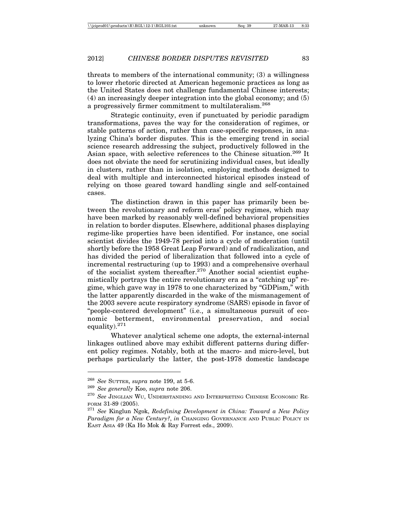threats to members of the international community; (3) a willingness to lower rhetoric directed at American hegemonic practices as long as the United States does not challenge fundamental Chinese interests; (4) an increasingly deeper integration into the global economy; and (5) a progressively firmer commitment to multilateralism.<sup>268</sup>

Strategic continuity, even if punctuated by periodic paradigm transformations, paves the way for the consideration of regimes, or stable patterns of action, rather than case-specific responses, in analyzing China's border disputes. This is the emerging trend in social science research addressing the subject, productively followed in the Asian space, with selective references to the Chinese situation.<sup>269</sup> It does not obviate the need for scrutinizing individual cases, but ideally in clusters, rather than in isolation, employing methods designed to deal with multiple and interconnected historical episodes instead of relying on those geared toward handling single and self-contained cases.

The distinction drawn in this paper has primarily been between the revolutionary and reform eras' policy regimes, which may have been marked by reasonably well-defined behavioral propensities in relation to border disputes. Elsewhere, additional phases displaying regime-like properties have been identified. For instance, one social scientist divides the 1949-78 period into a cycle of moderation (until shortly before the 1958 Great Leap Forward) and of radicalization, and has divided the period of liberalization that followed into a cycle of incremental restructuring (up to 1993) and a comprehensive overhaul of the socialist system thereafter.<sup>270</sup> Another social scientist euphemistically portrays the entire revolutionary era as a "catching up" regime, which gave way in 1978 to one characterized by "GDPism," with the latter apparently discarded in the wake of the mismanagement of the 2003 severe acute respiratory syndrome (SARS) episode in favor of "people-centered development" (i.e., a simultaneous pursuit of economic betterment, environmental preservation, and social equality).271

Whatever analytical scheme one adopts, the external-internal linkages outlined above may exhibit different patterns during different policy regimes. Notably, both at the macro- and micro-level, but perhaps particularly the latter, the post-1978 domestic landscape

<sup>268</sup> *See* SUTTER, *supra* note 199, at 5-6.

<sup>269</sup> *See generally* Koo, *supra* note 206.

<sup>270</sup> *See* JINGLIAN WU, UNDERSTANDING AND INTERPRETING CHINESE ECONOMIC RE-FORM 31-89 (2005).

<sup>271</sup> *See* Kinglun Ngok, *Redefining Development in China: Toward a New Policy Paradigm for a New Century?*, *in* CHANGING GOVERNANCE AND PUBLIC POLICY IN EAST ASIA 49 (Ka Ho Mok & Ray Forrest eds., 2009).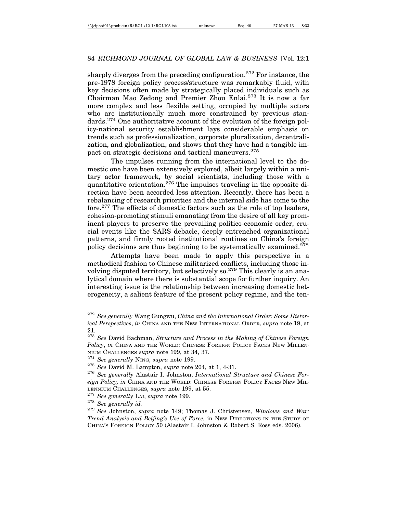sharply diverges from the preceding configuration.<sup>272</sup> For instance, the pre-1978 foreign policy process/structure was remarkably fluid, with key decisions often made by strategically placed individuals such as Chairman Mao Zedong and Premier Zhou Enlai.273 It is now a far more complex and less flexible setting, occupied by multiple actors who are institutionally much more constrained by previous standards.274 One authoritative account of the evolution of the foreign policy-national security establishment lays considerable emphasis on trends such as professionalization, corporate pluralization, decentralization, and globalization, and shows that they have had a tangible impact on strategic decisions and tactical maneuvers.<sup>275</sup>

The impulses running from the international level to the domestic one have been extensively explored, albeit largely within a unitary actor framework, by social scientists, including those with a quantitative orientation.276 The impulses traveling in the opposite direction have been accorded less attention. Recently, there has been a rebalancing of research priorities and the internal side has come to the fore.277 The effects of domestic factors such as the role of top leaders, cohesion-promoting stimuli emanating from the desire of all key prominent players to preserve the prevailing politico-economic order, crucial events like the SARS debacle, deeply entrenched organizational patterns, and firmly rooted institutional routines on China's foreign policy decisions are thus beginning to be systematically examined.278

Attempts have been made to apply this perspective in a methodical fashion to Chinese militarized conflicts, including those involving disputed territory, but selectively so.<sup>279</sup> This clearly is an analytical domain where there is substantial scope for further inquiry. An interesting issue is the relationship between increasing domestic heterogeneity, a salient feature of the present policy regime, and the ten-

<sup>272</sup> *See generally* Wang Gungwu, *China and the International Order: Some Historical Perspectives*, *in* CHINA AND THE NEW INTERNATIONAL ORDER, *supra* note 19, at 21.

<sup>273</sup> *See* David Bachman, *Structure and Process in the Making of Chinese Foreign Policy*, *in* CHINA AND THE WORLD: CHINESE FOREIGN POLICY FACES NEW MILLEN-NIUM CHALLENGES *supra* note 199, at 34, 37.

<sup>274</sup> *See generally* NING, *supra* note 199.

<sup>275</sup> *See* David M. Lampton, *supra* note 204, at 1, 4-31.

<sup>276</sup> *See generally* Alastair I. Johnston, *International Structure and Chinese Foreign Policy, in* CHINA AND THE WORLD: CHINESE FOREIGN POLICY FACES NEW MIL-LENNIUM CHALLENGES, *supra* note 199, at 55.

<sup>277</sup> *See generally* LAI, *supra* note 199.

<sup>278</sup> *See generally id.*

<sup>279</sup> *See* Johnston, *supra* note 149; Thomas J. Christensen, *Windows and War: Trend Analysis and Beijing's Use of Force,* in NEW DIRECTIONS IN THE STUDY OF CHINA'S FOREIGN POLICY 50 (Alastair I. Johnston & Robert S. Ross eds. 2006).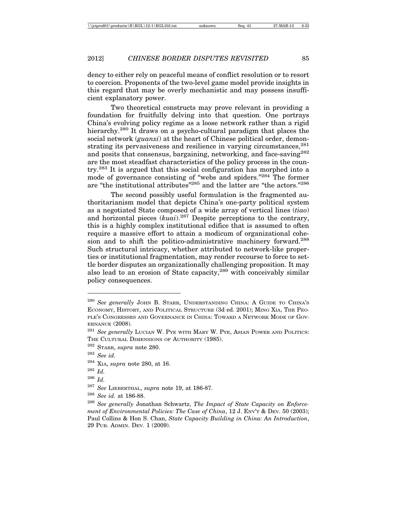dency to either rely on peaceful means of conflict resolution or to resort to coercion. Proponents of the two-level game model provide insights in this regard that may be overly mechanistic and may possess insufficient explanatory power.

Two theoretical constructs may prove relevant in providing a foundation for fruitfully delving into that question. One portrays China's evolving policy regime as a loose network rather than a rigid hierarchy.<sup>280</sup> It draws on a psycho-cultural paradigm that places the social network (*guanxi*) at the heart of Chinese political order, demonstrating its pervasiveness and resilience in varying circumstances.  $281$ and posits that consensus, bargaining, networking, and face-saving<sup>282</sup> are the most steadfast characteristics of the policy process in the country.283 It is argued that this social configuration has morphed into a mode of governance consisting of "webs and spiders."284 The former are "the institutional attributes"285 and the latter are "the actors."286

The second possibly useful formulation is the fragmented authoritarianism model that depicts China's one-party political system as a negotiated State composed of a wide array of vertical lines (*tiao*) and horizontal pieces (*kuai*).287 Despite perceptions to the contrary, this is a highly complex institutional edifice that is assumed to often require a massive effort to attain a modicum of organizational cohesion and to shift the politico-administrative machinery forward.<sup>288</sup> Such structural intricacy, whether attributed to network-like properties or institutional fragmentation, may render recourse to force to settle border disputes an organizationally challenging proposition. It may also lead to an erosion of State capacity,<sup>289</sup> with conceivably similar policy consequences.

<sup>280</sup> *See generally* JOHN B. STARR, UNDERSTANDING CHINA: A GUIDE TO CHINA'S ECONOMY, HISTORY, AND POLITICAL STRUCTURE (3d ed. 2001); MING XIA, THE PEO-PLE'S CONGRESSES AND GOVERNANCE IN CHINA: TOWARD A NETWORK MODE OF GOV-ERNANCE (2008).

<sup>281</sup> *See generally* LUCIAN W. PYE WITH MARY W. PYE, ASIAN POWER AND POLITICS: THE CULTURAL DIMENSIONS OF AUTHORITY (1985).

<sup>282</sup> STARR, *supra* note 280.

<sup>283</sup> *See id.*

<sup>284</sup> XIA, *supra* note 280, at 16.

<sup>285</sup> *Id.*

<sup>286</sup> *Id.*

<sup>287</sup> *See* LIEBERTHAL, *supra* note 19, at 186-87.

 $\frac{288}{289}$  *See id.* at 186-88.<br> $\frac{289}{289}$  *See generally* Jon

See generally Jonathan Schwartz, *The Impact of State Capacity on Enforcement of Environmental Policies: The Case of China*, 12 J. ENV'T & DEV. 50 (2003); Paul Collins & Hon S. Chan, *State Capacity Building in China: An Introduction*, 29 PUB. ADMIN. DEV*.* 1 (2009).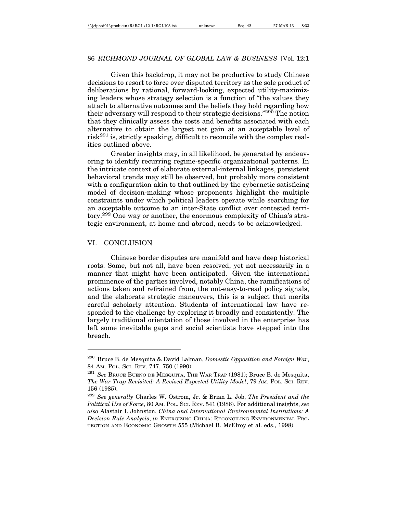# 86 *RICHMOND JOURNAL OF GLOBAL LAW & BUSINESS* [Vol. 12:1

Given this backdrop, it may not be productive to study Chinese decisions to resort to force over disputed territory as the sole product of deliberations by rational, forward-looking, expected utility-maximizing leaders whose strategy selection is a function of "the values they attach to alternative outcomes and the beliefs they hold regarding how their adversary will respond to their strategic decisions."<sup>290</sup> The notion that they clinically assess the costs and benefits associated with each alternative to obtain the largest net gain at an acceptable level of  $\text{risk}^{291}$  is, strictly speaking, difficult to reconcile with the complex realities outlined above.

Greater insights may, in all likelihood, be generated by endeavoring to identify recurring regime-specific organizational patterns. In the intricate context of elaborate external-internal linkages, persistent behavioral trends may still be observed, but probably more consistent with a configuration akin to that outlined by the cybernetic satisficing model of decision-making whose proponents highlight the multiple constraints under which political leaders operate while searching for an acceptable outcome to an inter-State conflict over contested territory.292 One way or another, the enormous complexity of China's strategic environment, at home and abroad, needs to be acknowledged.

#### VI. CONCLUSION

Chinese border disputes are manifold and have deep historical roots. Some, but not all, have been resolved, yet not necessarily in a manner that might have been anticipated. Given the international prominence of the parties involved, notably China, the ramifications of actions taken and refrained from, the not-easy-to-read policy signals, and the elaborate strategic maneuvers, this is a subject that merits careful scholarly attention. Students of international law have responded to the challenge by exploring it broadly and consistently. The largely traditional orientation of those involved in the enterprise has left some inevitable gaps and social scientists have stepped into the breach.

<sup>290</sup> Bruce B. de Mesquita & David Lalman, *Domestic Opposition and Foreign War*, 84 AM. POL. SCI. REV. 747, 750 (1990).

<sup>291</sup> *See* BRUCE BUENO DE MESQUITA, THE WAR TRAP (1981); Bruce B. de Mesquita, *The War Trap Revisited: A Revised Expected Utility Model*, 79 AM. POL. SCI. REV. 156 (1985).

<sup>292</sup> *See generally* Charles W. Ostrom, Jr. & Brian L. Job, *The President and the Political Use of Force*, 80 AM. POL. SCI. REV. 541 (1986). For additional insights, *see also* Alastair I. Johnston, *China and International Environmental Institutions: A Decision Rule Analysis*, *in* ENERGIZING CHINA: RECONCILING ENVIRONMENTAL PRO-TECTION AND ECONOMIC GROWTH 555 (Michael B. McElroy et al. eds., 1998).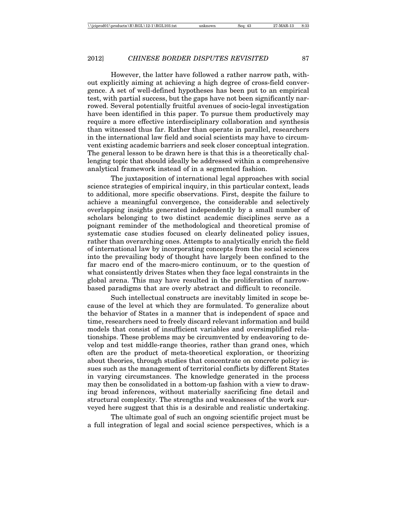However, the latter have followed a rather narrow path, without explicitly aiming at achieving a high degree of cross-field convergence. A set of well-defined hypotheses has been put to an empirical test, with partial success, but the gaps have not been significantly narrowed. Several potentially fruitful avenues of socio-legal investigation have been identified in this paper. To pursue them productively may require a more effective interdisciplinary collaboration and synthesis than witnessed thus far. Rather than operate in parallel, researchers in the international law field and social scientists may have to circumvent existing academic barriers and seek closer conceptual integration. The general lesson to be drawn here is that this is a theoretically challenging topic that should ideally be addressed within a comprehensive analytical framework instead of in a segmented fashion.

The juxtaposition of international legal approaches with social science strategies of empirical inquiry, in this particular context, leads to additional, more specific observations. First, despite the failure to achieve a meaningful convergence, the considerable and selectively overlapping insights generated independently by a small number of scholars belonging to two distinct academic disciplines serve as a poignant reminder of the methodological and theoretical promise of systematic case studies focused on clearly delineated policy issues, rather than overarching ones. Attempts to analytically enrich the field of international law by incorporating concepts from the social sciences into the prevailing body of thought have largely been confined to the far macro end of the macro-micro continuum, or to the question of what consistently drives States when they face legal constraints in the global arena. This may have resulted in the proliferation of narrowbased paradigms that are overly abstract and difficult to reconcile.

Such intellectual constructs are inevitably limited in scope because of the level at which they are formulated. To generalize about the behavior of States in a manner that is independent of space and time, researchers need to freely discard relevant information and build models that consist of insufficient variables and oversimplified relationships. These problems may be circumvented by endeavoring to develop and test middle-range theories, rather than grand ones, which often are the product of meta-theoretical exploration, or theorizing about theories, through studies that concentrate on concrete policy issues such as the management of territorial conflicts by different States in varying circumstances. The knowledge generated in the process may then be consolidated in a bottom-up fashion with a view to drawing broad inferences, without materially sacrificing fine detail and structural complexity. The strengths and weaknesses of the work surveyed here suggest that this is a desirable and realistic undertaking.

The ultimate goal of such an ongoing scientific project must be a full integration of legal and social science perspectives, which is a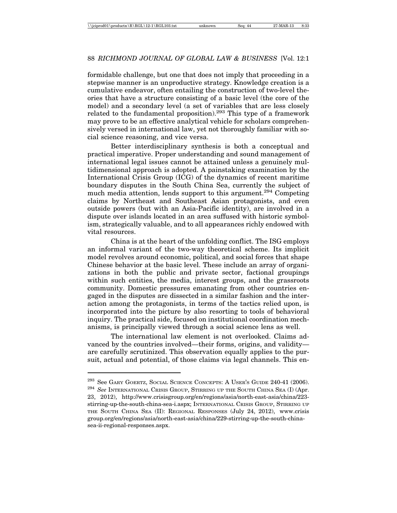formidable challenge, but one that does not imply that proceeding in a stepwise manner is an unproductive strategy. Knowledge creation is a cumulative endeavor, often entailing the construction of two-level theories that have a structure consisting of a basic level (the core of the model) and a secondary level (a set of variables that are less closely related to the fundamental proposition).<sup>293</sup> This type of a framework may prove to be an effective analytical vehicle for scholars comprehensively versed in international law, yet not thoroughly familiar with social science reasoning, and vice versa.

Better interdisciplinary synthesis is both a conceptual and practical imperative. Proper understanding and sound management of international legal issues cannot be attained unless a genuinely multidimensional approach is adopted. A painstaking examination by the International Crisis Group (ICG) of the dynamics of recent maritime boundary disputes in the South China Sea, currently the subject of much media attention, lends support to this argument.<sup>294</sup> Competing claims by Northeast and Southeast Asian protagonists, and even outside powers (but with an Asia-Pacific identity), are involved in a dispute over islands located in an area suffused with historic symbolism, strategically valuable, and to all appearances richly endowed with vital resources.

China is at the heart of the unfolding conflict. The ISG employs an informal variant of the two-way theoretical scheme. Its implicit model revolves around economic, political, and social forces that shape Chinese behavior at the basic level. These include an array of organizations in both the public and private sector, factional groupings within such entities, the media, interest groups, and the grassroots community. Domestic pressures emanating from other countries engaged in the disputes are dissected in a similar fashion and the interaction among the protagonists, in terms of the tactics relied upon, is incorporated into the picture by also resorting to tools of behavioral inquiry. The practical side, focused on institutional coordination mechanisms, is principally viewed through a social science lens as well.

The international law element is not overlooked. Claims advanced by the countries involved—their forms, origins, and validity are carefully scrutinized. This observation equally applies to the pursuit, actual and potential, of those claims via legal channels. This en-

 $^{293}$  See GARY GOERTZ, SOCIAL SCIENCE CONCEPTS: A USER'S GUIDE 240-41 (2006).

<sup>294</sup> *See* INTERNATIONAL CRISIS GROUP, STIRRING UP THE SOUTH CHINA SEA (I) (Apr. 23, 2012), http://www.crisisgroup.org/en/regions/asia/north-east-asia/china/223 stirring-up-the-south-china-sea-i.aspx; INTERNATIONAL CRISIS GROUP, STIRRING UP THE SOUTH CHINA SEA (II): REGIONAL RESPONSES (July 24, 2012), www.crisis group.org/en/regions/asia/north-east-asia/china/229-stirring-up-the-south-chinasea-ii-regional-responses.aspx.